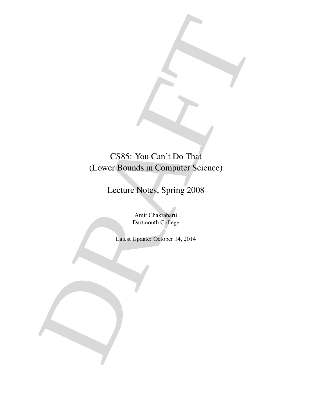CS85: You Can't Do That<br>
(Lover Bounds in Computer Science)<br>
Lecture Notes, Spring 2008<br>
Anni Chalacteria<br>
Duranouli Cyllege<br>
Latest Update: Gyloter 14, 2014 CS85: You Can't Do That (Lower Bounds in Computer Science)

## Lecture Notes, Spring 2008

Amit Chakrabarti Dartmouth College

Latest Update: October 14, 2014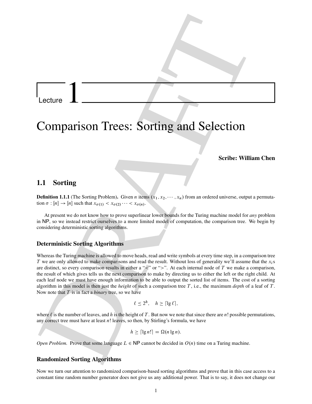Lecture 1

# Comparison Trees: Sorting and Selection

## Scribe: William Chen

## 1.1 Sorting

**Definition 1.1.1** (The Sorting Problem). Given *n* items  $(x_1, x_2, \dots, x_n)$  from an ordered universe, output a permutation  $\sigma : [n] \to [n]$  such that  $x_{\sigma(1)} < x_{\sigma(2)} \cdots < x_{\sigma(n)}$ .

At present we do not know how to prove superlinear lower bounds for the Turing machine model for *any* problem in NP, so we instead restrict ourselves to a more limited model of computation, the comparison tree. We begin by considering deterministic sorting algorithms.

## Deterministic Sorting Algorithms

Lecture 1<br>
Comparison Trees: Sorting and Selection<br>
Scribes William Chen<br>
1.1 Sorting<br>
1.1 Sorting<br>
1.1 Sorting<br>
1.1 Sorting<br>
1.1 Sorting<br>
1.1 Sorting<br>
1.1 Sorting<br>
2.2 or  $p = \sin \theta$  and  $\sin \theta$ . One where  $\sin \theta$ ,  $\cos \theta$ ,  $\$ Whereas the Turing machine is allowed to move heads, read and write symbols at every time step, in a comparison tree T we are only allowed to make comparisons and read the result. Without loss of generality we'll assume that the  $x_i$ s are distinct, so every comparison results in either a " $\leq$ " or " $>$ ". At each internal node of T we make a comparison, the result of which gives tells us the next comparison to make by directing us to either the left or the right child. At each leaf node we must have enough information to be able to output the sorted list of items. The cost of a sorting algorithm in this model is then just the *height* of such a comparison tree T , i.e., the maximum *depth* of a leaf of T . Now note that T is in fact a *binary* tree, so we have

$$
\ell \leq 2^h, \quad h \geq \lceil \lg \ell \rceil,
$$

where  $\ell$  is the number of leaves, and h is the height of T. But now we note that since there are n! possible permutations, any correct tree must have at least  $n!$  leaves, so then, by Stirling's formula, we have

$$
h \geq \lceil \lg n! \rceil = \Omega(n \lg n).
$$

*Open Problem.* Prove that some language  $L \in NP$  cannot be decided in  $O(n)$  time on a Turing machine.

## Randomized Sorting Algorithms

Now we turn our attention to randomized comparison-based sorting algorithms and prove that in this case access to a constant time random number generator does not give us any additional power. That is to say, it does not change our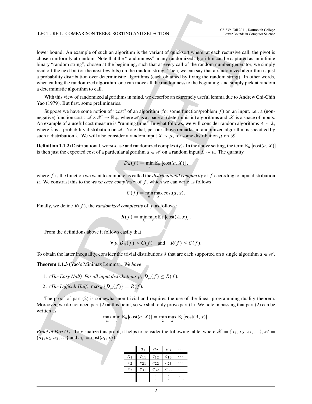LCCUSE 1. COMPARION TREES SORTING AND SELECTION<br>
To the the state of the state of the state of spin-bent of spin-bent schemes and the state of the state<br>
the state of the state of the state of the state of the state of sp lower bound. An example of such an algorithm is the variant of quicksort where, at each recursive call, the pivot is chosen uniformly at random. Note that the "randomness" in any randomized algorithm can be captured as an infinite binary "random string", chosen at the beginning, such that at every call of the random number generator, we simply read off the next bit (or the next few bits) on the random string. Then, we can say that a randomized algorithm is just a probability distribution over deterministic algorithms (each obtained by fixing the random string). In other words, when calling the randomized algorithm, one can move all the randomness to the beginning, and simply pick at random a deterministic algorithm to call.

With this view of randomized algorithms in mind, we describe an extremely useful lemma due to Andrew Chi-Chih Yao (1979). But first, some preliminaries.

Suppose we have some notion of "cost" of an algorithm (for some function/problem  $f$ ) on an input, i.e., a (nonnegative) function cost :  $\mathscr{A} \times \mathscr{X} \to \mathbb{R}_+$ , where  $\mathscr{A}$  is a space of (deterministic) algorithms and  $\mathscr{X}$  is a space of inputs. An example of a useful cost measure is "running time." In what follows, we will consider random algorithms  $A \sim \lambda$ , where  $\lambda$  is a probability distribution on  $\mathscr A$ . Note that, per our above remarks, a randomized algorithm is specified by such a distribution  $\lambda$ . We will also consider a random input  $X \sim \mu$ , for some distribution  $\mu$  on  $\mathscr{X}$ .

**Definition 1.1.2** (Distributional, worst-case and randomized complexity). In the above setting, the term  $\mathbb{E}_{\mu}$  [cost $(a, X)$ ] is then just the expected cost of a particular algorithm  $a \in \mathscr{A}$  on a random input  $X \sim \mu$ . The quantity

$$
D_{\mu}(f) = \min_{a} \mathbb{E}_{\mu} [\text{cost}(a, X)],
$$

where  $f$  is the function we want to compute, is called the *distributional complexity* of  $f$  according to input distribution  $\mu$ . We constrast this to the *worst case complexity* of  $f$ , which we can write as follows

$$
C(f) = \min_{a} \max_{x} \cot(a, x).
$$

Finally, we define  $R(f)$ , the *randomized complexity* of f as follows:

$$
R(f) = \min_{\lambda} \max_{x} \mathbb{E}_{\lambda} [\text{cost}(A, x)].
$$

From the definitions above it follows easily that

$$
\forall \mu \ D_{\mu}(f) \le C(f) \quad \text{and} \quad R(f) \le C(f).
$$

To obtain the latter inequality, consider the trivial distributions  $\lambda$  that are each supported on a single algorithm  $a \in \mathcal{A}$ .

Theorem 1.1.3 (Yao's Minimax Lemma). *We have*

- 1. *(The Easy Half) For all input distributions*  $\mu$ ,  $D_{\mu}(f) \leq R(f)$ .
- 2. *(The Difficult Half)*  $\max_{\mu} \{D_{\mu}(f)\} = R(f)$ .

The proof of part (2) is somewhat non-trivial and requires the use of the linear programming duality theorem. Moreover, we do not need part (2) at this point, so we shall only prove part (1). We note in passing that part (2) can be written as

$$
\max_{\mu} \min_{a} \mathbb{E}_{\mu}[\text{cost}(a, X)] = \min_{\lambda} \max_{x} \mathbb{E}_{\lambda}[\text{cost}(A, x)].
$$

*Proof of Part (1).* To visualize this proof, it helps to consider the following table, where  $\mathscr{X} = \{x_1, x_2, x_3, \ldots\}$ ,  $\mathscr{A} =$  ${a_1, a_2, a_3, \ldots}$  and  $c_{ij} = \text{cost}(a_i, x_j)$ :

|       | $a_1$    | $a_2$    | $a_3$    |  |
|-------|----------|----------|----------|--|
| $x_1$ | $c_{11}$ | $c_{12}$ | $c_{13}$ |  |
| $x_2$ | $c_{21}$ | $c_{22}$ | $c_{23}$ |  |
| $x_3$ | $c_{31}$ | $c_{32}$ | $c_{33}$ |  |
|       |          |          |          |  |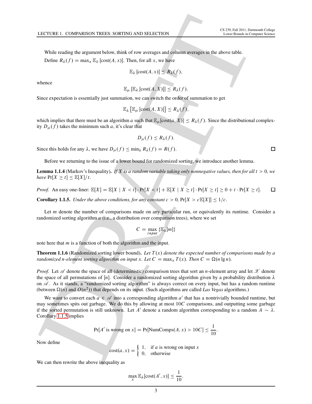While reading the argument below, think of row averages and column averages in the above table.

Define  $R_{\lambda}(f) = \max_{x} \mathbb{E}_{\lambda} [\text{cost}(A, x)].$  Then, for all x, we have

$$
\mathbb{E}_{\lambda}\left[\mathrm{cost}(A,x)\right] \leq R_{\lambda}(f),
$$

whence

 $\mathbb{E}_{\mu}$   $[\mathbb{E}_{\lambda}$   $[\text{cost}(A, X)]] \leq R_{\lambda}(f)$ .

Since expectation is essentially just summation, we can switch the order of summation to get

$$
\mathbb{E}_{\lambda}\left[\mathbb{E}_{\mu}\left[\mathrm{cost}(A, X)\right]\right] \leq R_{\lambda}(f),
$$

which implies that there must be an algorithm a such that  $\mathbb{E}_{\mu}[\text{cost}(a, X)] \leq R_{\lambda}(f)$ . Since the distributional complexity  $D_{\mu}(f)$  takes the minimum such a, it's clear that

$$
D_{\mu}(f) \leq R_{\lambda}(f).
$$

Since this holds for any  $\lambda$ , we have  $D_{\mu}(f) \le \min_{\lambda} R_{\lambda}(f) = R(f)$ .

Before we returning to the issue of a lower bound for randomized sorting, we introduce another lemma.

**Lemma 1.1.4** (Markov's Inequality). *If*  $\bar{X}$  *is a random variable taking only nonnegative values, then for all*  $t > 0$ *, we*  $have \Pr[X \ge t] \le \mathbb{E}[X]/t.$ 

<span id="page-3-0"></span>*Proof.* An easy one-liner:  $\mathbb{E}[X] = \mathbb{E}[X \mid X < t] \cdot \Pr[X < t] + \mathbb{E}[X \mid X \geq t] \cdot \Pr[X \geq t] \geq 0 + t \cdot \Pr[X \geq t]$ .

**Corollary 1.1.5.** *Under the above conditions, for any constant*  $c > 0$ ,  $Pr[X > cE[X]] \le 1/c$ *.* 

Let m denote the number of comparisons made on any particular run, or equivalently its runtime. Consider a randomized sorting algorithm  $a$  (i.e., a distribution over comparison trees), where we set

$$
C = \max_{input} \{ \mathbb{E}_{\lambda}[m] \}
$$

note here that  $m$  is a function of both the algorithm and the input.

**Theorem 1.1.6** (Randomized sorting lower bound). Let  $T(x)$  denote the expected number of comparisons made by a *randomized n-element sorting algorithm on input* x*. Let*  $C = \max_x T(x)$ *. Then*  $C = \Omega(n \lg n)$ *.* 

LCCUSE 1. COMPARISON TREES SORTING AN[D](#page-3-0) SELECTION<br>
Theorem is the main gradient below, theirs of runs and particular and the selection of the selection is a selection of the selection of the selection of the selection of t *Proof.* Let  $\mathscr A$  denote the space of all (deterministic) comparison trees that sort an *n*-element array and let  $\mathscr X$  denote the space of all permutations of [n]. Consider a randomized sorting algorithm given by a probability distribution  $\lambda$ on  $\mathscr A$ . As it stands, a "randomized sorting algorithm" is always correct on every input, but has a random runtime (between  $\Omega(n)$  and  $O(n^2)$ ) that depends on its input. (Such algorithms are called *Las Vegas* algorithms.)

We want to convert each  $a \in \mathcal{A}$  into a corresponding algorithm a' that has a nontrivially bounded runtime, but may sometimes spits out garbage. We do this by allowing at most  $10C$  comparisons, and outputting some garbage if the sorted permutation is still unknown. Let A' denote a random algorithm corresponding to a random  $A \sim \lambda$ . Corollary 1.1.5 implies

$$
Pr[A' \text{ is wrong on } x] = Pr[\text{NumComps}(A, x) > 10C] \le \frac{1}{10}.
$$

Now define

$$
cost(a, x) = \begin{cases} 1, & \text{if } a \text{ is wrong on input } x \\ 0, & \text{otherwise} \end{cases}
$$

We can then rewrite the above inequality as

$$
\max_{x} \mathbb{E}_{\lambda}[\text{cost}(A', x)] \le \frac{1}{10}.
$$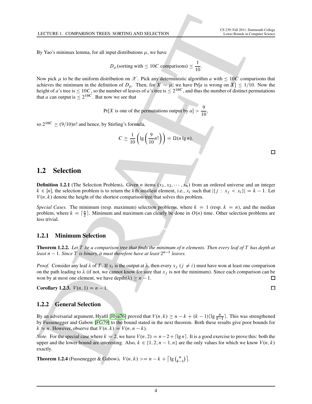By Yao's minimax lemma, for all input distributions  $\mu$ , we have

$$
D_{\mu}
$$
(sorting with  $\leq 10C$  comparisons)  $\leq \frac{1}{10}$ .

1

LCCTURE 1. COMPARISON TREES SOURCE/AN[D](#page-46-0) SELECTION<br>
To Yaris minimize temperature of the line distributions at we have<br>  $D_x$  (bording with  $\leq 10C$  expansions)  $\leq \frac{1}{10}$ <br>
Now risk y look the sufficience of the line of Now pick  $\mu$  to be the uniform distribution on  $\mathscr X$ . Pick any deterministic algorithm a with  $\leq 10C$  comparisons that achieves the minimum in the definition of  $D_{\mu}$ . Then, for  $X \sim \mu$ , we have Pr[a is wrong on X]  $\leq 1/10$ . Now the height of a's tree is  $\leq 10C$ , so the number of leaves of a's tree is  $\leq 2^{10C}$ , and thus the number of distinct permutations that *a* can output is  $\leq 2^{10C}$ . But now we see that

Pr[X is one of the permutations output by  $a$ ]  $> \frac{9}{10}$ ,

so  $2^{10C} \ge (9/10)n!$  and hence, by Stirling's formula,

$$
C \ge \frac{1}{10} \left( \lg \left( \frac{9}{10} n! \right) \right) = \Omega(n \lg n).
$$

## 1.2 Selection

**Definition 1.2.1** (The Selection Problem). Given *n* items  $(x_1, x_2, \dots, x_n)$  from an ordered universe and an integer  $k \in [n]$ , the selection problem is to return the kth smallest element, i.e.,  $x_i$  such that  $|\{j : x_j < x_i\}| = k - 1$ . Let  $V(n, k)$  denote the height of the shortest comparison tree that solves this problem.

*Special Cases.* The minimum (resp. maximum) selection problems, where  $k = 1$  (resp.  $k = n$ ), and the median problem, where  $k = \lceil \frac{n}{2} \rceil$ . Minimum and maximum can clearly be done in  $O(n)$  time. Other selection problems are less trivial.

## <span id="page-4-0"></span>1.2.1 Minimum Selection

Theorem 1.2.2. *Let* T *be a comparison tree that finds the minimum of* n *elements. Then every leaf of* T *has depth at*  $least\ n-1.$  Since  $T$  is binary, it must therefore have at least  $2^{n-1}$  leaves.

*Proof.* Consider any leaf  $\lambda$  of T. If  $x_i$  is the output at  $\lambda$ , then every  $x_j$   $(j \neq i)$  must have won at least one comparison on the path leading to  $\lambda$  (if not, we cannot know for sure that  $x_j$  is not the minimum). Since each comparison can be won by at most one element, we have depth $(\lambda) \ge n - 1$ .

**Corollary 1.2.3.**  $V(n, 1) = n - 1$ .

## 1.2.2 General Selection

By an adversarial argument, Hyafil [Hya76] proved that  $V(n, k) \ge n - k + (k - 1) \lceil \lg \frac{n}{k-1} \rceil$ . This was strengthened by Fussenegger and Gabow [FG79] to the bound stated in the next theorem. Both these results give poor bounds for  $k \approx n$ . However, observe that  $V(n, k) = V(n, n - k)$ .

*Note.* For the special case where  $k = 2$ , we have  $V(n, 2) = n - 2 + \lceil \lg n \rceil$ . It is a good exercise to prove this: both the upper and the lower bound are interesting. Also,  $k \in \{1, 2, n - 1, n\}$  are the only values for which we know  $V(n, k)$ exactly.

**Theorem 1.2.4** (Fussenegger & Gabow).  $V(n, k) \ge n - k + \lceil \lg \binom{n}{k} \rceil$  $\binom{n}{k-1}$ .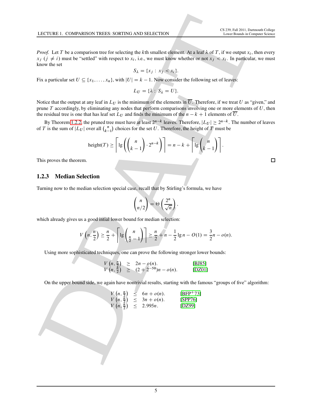*Proof.* Let T be a comparison tree for selecting the kth smallest element. At a leaf  $\lambda$  of T, if we output  $x_i$ , then every  $x_j$  ( $j \neq i$ ) must be "settled" with respect to  $x_i$ , i.e., we must know whether or not  $x_j < x_i$ . In particular, we must know the set

$$
S_{\lambda} = \{x_j : x_j < x_i\}.
$$

Fix a particular set  $U \subseteq \{x_1, \ldots, x_n\}$ , with  $|U| = k - 1$ . Now consider the following set of leaves:

$$
L_U=\{\lambda: S_\lambda=U\}.
$$

LCCUSE 1. COMPARISON PERSON SORTING AND SELECTION<br>
DRAFT LET TO A CONSIDER THE RAFT OF CHOICE POSITION TO THE RAFT LET THE CONTRACT LET THE CONSIDERATION CONTRACT LET THE CONTRACT LET THE CONTRACT LET THE CONTRACT LET THE Notice that the output at any leaf in  $L_U$  is the minimum of the elements in  $\overline{U}$ . Therefore, if we treat U as "given," and prune  $T$  accordingly, by eliminating any nodes that perform comparisons involving one or more elements of  $U$ , then the residual tree is one that has leaf set  $L_U$  and finds the minimum of the  $n - k + 1$  elements of  $\overline{U}$ .

By Theorem 1.2.2, the pruned tree must have at least  $2^{n-k}$  leaves. Therefore,  $|L_U| \ge 2^{n-k}$ . The number of leaves of T is the sum of  $|L_U|$  over all  $\binom{n}{k-1}$  $\binom{n}{k-1}$  choices for the set U. Therefore, the height of T must be

height
$$
(T)
$$
  $\geq \left\lceil \lg \left( \binom{n}{k-1} \cdot 2^{n-k} \right) \right\rceil = n - k + \left\lceil \lg \binom{n}{k-1} \right\rceil$ .

This proves the theorem.

## 1.2.3 Median Selection

Turning now to the median selection special case, recall that by Stirling's formula, we have

$$
\binom{n}{n/2} = \Theta\left(\frac{2^n}{\sqrt{n}}\right),\,
$$

which already gives us a good intial lower bound for median selection:

$$
V(n, \frac{n}{2}) \geq \frac{n}{2} + \left\lceil \lg \binom{n}{\frac{n}{2} - 1} \right\rceil \geq \frac{n}{2} + n - \frac{1}{2} \lg n - O(1) = \frac{3}{2}n - o(n).
$$

Using more sophisticated techniques, one can prove the following stronger lower bounds:

$$
V(n, \frac{n}{2}) \ge 2n - o(n).
$$
 [BJ85]  
\n
$$
V(n, \frac{n}{2}) \ge (2 + 2^{-50})n - o(n).
$$
 [BJ85]

On the upper bound side, we again have nontrivial results, starting with the famous "groups of five" algorithm:

$$
V(n, \frac{n}{2}) \le 6n + o(n). \qquad [BFP+73] V(n, \frac{n}{2}) \le 3n + o(n). \qquad [SPP76] V(n, \frac{n}{2}) \le 2.995n. \qquad [DZ99]
$$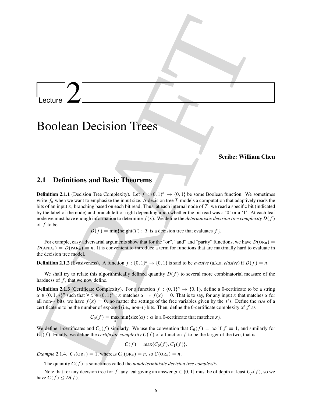Lecture  $2$ 

## Boolean Decision Trees

## Scribe: William Chen

## 2.1 Definitions and Basic Theorems

Lecture<br>
2.1 Definitions and Basic Theorems<br>
2.1 Definitions and Basic Theorems<br>
2.1 Definitions and Basic Theorems<br>
2.1 Definitions and Basic Theorems<br>
2.1 Definitions and Basic Theorems<br>
2.2 Section Resolution in the co **Definition 2.1.1** (Decision Tree Complexity). Let  $f : \{0, 1\}^n \to \{0, 1\}$  be some Boolean function. We sometimes write  $f_n$  when we want to emphasize the input size. A decision tree T models a computation that adaptively reads the bits of an input x, branching based on each bit read. Thus, at each internal node of  $T$ , we read a specific bit (indicated by the label of the node) and branch left or right depending upon whether the bit read was a '0' or a '1'. At each leaf node we must have enough information to determine  $f(x)$ . We define the *deterministic decision tree complexity*  $D(f)$ of  $f$  to be

 $D(f) = min{height(T) : T is a decision tree that evaluates f}.$ 

For example, easy adversarial arguments show that for the "or", "and" and "parity" functions, we have  $D(\text{OR}_n)$  =  $D(\text{AND}_n) = D(\text{PAR}_n) = n$ . It is convenient to introduce a term for functions that are maximally hard to evaluate in the decision tree model.

**Definition 2.1.2** (Evasiveness). A function  $f: \{0, 1\}^n \to \{0, 1\}$  is said to be *evasive* (a.k.a. *elusive*) if  $D(f) = n$ .

We shall try to relate this algorithmically defined quantity  $D(f)$  to several more combinatorial measure of the hardness of  $f$ , that we now define.

**Definition 2.1.3** (Certificate Complexity). For a function  $f : \{0, 1\}^n \to \{0, 1\}$ , define a 0-certificate to be a string  $\alpha \in \{0, 1, *\}^n$  such that  $\forall x \in \{0, 1\}^n : x$  matches  $\alpha \Rightarrow f(x) = 0$ . That is to say, for any input x that matches  $\alpha$  for all non- $*$  bits, we have  $f(x) = 0$ , no matter the settings of the free variables given by the  $*$ 's. Define the *size* of a certificate  $\alpha$  to be the number of exposed (i.e., non-\*) bits. Then, define the 0-certificate complexity of f as

 $C_0(f) = \max_{x} \min\{\text{size}(\alpha) : \alpha \text{ is a 0-certificate that matches } x\}.$ 

We define 1-certificates and  $C_1(f)$  similarly. We use the convention that  $C_0(f) = \infty$  if  $f \equiv 1$ , and similarly for  $C_1(f)$ . Finally, we define the *certificate complexity*  $C(f)$  of a function f to be the larger of the two, that is

$$
C(f) = \max\{C_0(f), C_1(f)\}.
$$

*Example* 2.1.4*.*  $C_1(\text{OR}_n) = 1$ , whereas  $C_0(\text{OR}_n) = n$ , so  $C(\text{OR}_n) = n$ .

The quantity  $C(f)$  is sometimes called the *nondeterministic decision tree complexity*.

Note that for any decision tree for f, any leaf giving an answer  $p \in \{0, 1\}$  must be of depth at least  $C_p(f)$ , so we have  $C(f) \leq D(f)$ .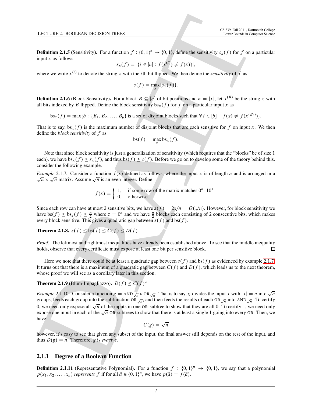**Definition 2.1.5** (Sensitivity). For a function  $f: \{0, 1\}^n \to \{0, 1\}$ , define the sensitivity  $s_x(f)$  for f on a particular input  $x$  as follows

$$
s_x(f) = |\{i \in [n] : f(x^{(i)}) \neq f(x)\}|,
$$

where we write  $x^{(i)}$  to denote the string x with the *i*th bit flipped. We then define the *sensitivity* of f as

$$
s(f) = \max_x \{ s_x(f) \}.
$$

**Definition 2.1.6** (Block Sensitivity). For a block  $B \subseteq [n]$  of bit positions and  $n = |x|$ , let  $x^{(B)}$  be the string x with all bits indexed by B flipped. Define the block sensitivity  $bs_x(f)$  for f on a particular input x as

 $bs_x(f) = \max\{b : \{B_1, B_2, \ldots, B_b\}$  is a set of disjoint blocks such that  $\forall i \in [b] : f(x) \neq f(x^{(B_i)})\}$ .

That is to say,  $bs_x(f)$  is the maximum number of disjoint blocks that are each sensitive for f on input x. We then define the *block sensitivity* of f as

$$
bs(f) = \max_{x} bs_x(f).
$$

Note that since block sensitivity is just a generalization of sensitivity (which requires that the "blocks" be of size 1 each), we have  $bs_x(f) \geq s_x(f)$ , and thus bs.f  $f \geq s(f)$ . Before we go on to develop some of the theory behind this, consider the following example.

<span id="page-7-0"></span>*Example* 2.1.7. Consider a function  $f(x)$  defined as follows, where the input x is of length n and is arranged in a  $\sqrt{n} \times \sqrt{n}$  matrix. Assume  $\sqrt{n}$  is an even integer. Define

$$
f(x) = \begin{cases} 1, & \text{if some row of the matrix matches } 0^*110^* \\ 0, & \text{otherwise.} \end{cases}
$$

Since each row can have at most 2 sensitive bits, we have  $s(f) = 2\sqrt{n} = O(\sqrt{n})$ . However, for block sensitivity we have  $bs(f) \geq bs_z(f) \geq \frac{n}{2}$  where  $z = 0^n$  and we have  $\frac{n}{2}$  blocks each consisting of 2 consecutive bits, which makes every block sensitive. This gives a quadratic gap between  $s(f)$  and bs.f f.

**Theorem 2.1.8.**  $s(f) \leq bs(f) \leq C(f) \leq D(f)$ .

*Proof.* The leftmost and rightmost inequalities have already been established above. To see that the middle inequality holds, observe that every certificate must expose at least one bit per sensitive block.

Here we note that there could be at least a quadratic gap between  $s(f)$  and bs $(f)$  as evidenced by example [2.1.7.](#page-7-0) It turns out that there is a maximum of a quadratic gap between  $C(f)$  and  $D(f)$ , which leads us to the next theorem, whose proof we will see as a corollary later in this section.

## <span id="page-7-1"></span>**Theorem 2.1.9** (Blum-Impagliazzo).  $D(f) \le C(f)^2$

LCCUSE 2. BOOLINA BICESION TREES<br> **CARRICAL EXECUTIONS** CONTINUES (CALL<sup>LLL</sup>A) (A) different transformation in the control of the state of the state of the state of the state of the state of the state of the state of the *Example* 2.1.10. Consider a function  $g = AND\sqrt{n} \circ OR\sqrt{n}$ . That is to say, g divides the input x with  $|x| = n$  into  $\sqrt{n}$ groups, feeds each group into the subfunction OR<sub> $\sqrt{n}$ </sub>, and then feeds the results of each OR<sub> $\sqrt{n}$ </sub> into AND<sub> $\sqrt{n}$ </sub>. To certify 0, we need only expose all  $\sqrt{n}$  of the inputs in one OR-subtree to show that they are all 0. To certify 1, we need only expose one input in each of the  $\sqrt{n}$  OR-subtrees to show that there is at least a single 1 going into every OR. Then, we have

$$
C(g) = \sqrt{n}
$$

however, it's easy to see that given any subset of the input, the final answer still depends on the rest of the input, and thus  $D(g) = n$ . Therefore, g is *evasive*.

## 2.1.1 Degree of a Boolean Function

**Definition 2.1.11** (Representative Polynomial). For a function  $f : \{0, 1\}^n \to \{0, 1\}$ , we say that a polynomial  $p(x_1, x_2, \dots, x_n)$  *represents* f if for all  $\vec{a} \in \{0, 1\}^n$ , we have  $p(\vec{a}) = f(\vec{a})$ .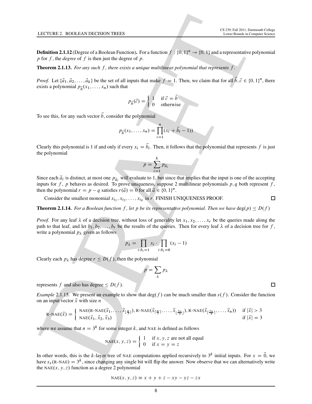**Definition 2.1.12** (Degree of a Boolean Function). For a function  $f: \{0, 1\}^n \to \{0, 1\}$  and a representative polynomial p for  $f$ , the *degree* of  $f$  is then just the degree of p.

Theorem 2.1.13. For any such f, there exists a unique multilinear polynomial that represents f.

*Proof.* Let  $\{\vec{a}_1, \vec{a}_2, \ldots, \vec{a}_k\}$  be the set of all inputs that make  $f = 1$ . Then, we claim that for all  $\vec{b}, \vec{c} \in \{0, 1\}^n$ , there exists a polynomial  $p_{\vec{b}}(x_1,\ldots,x_n)$  such that

$$
p_{\vec{b}}(\vec{c}) = \begin{cases} 1 & \text{if } \vec{c} = \vec{b} \\ 0 & \text{otherwise} \end{cases}
$$

To see this, for any such vector  $\vec{b}$ , consider the polynomial

$$
p_{\vec{b}}(x_1,\ldots,x_n) = \prod_{i=1}^n (x_i + \vec{b}_i - 1))
$$

Clearly this polynomial is 1 if and only if every  $x_i = b_i$ . Then, it follows that the polynomial that represents f is just the polynomial

$$
p = \sum_{i=1}^{k} p_{\vec{a}_i}
$$

Since each  $\vec{a}_i$  is distinct, at most one  $p_{\vec{a}_i}$  will evaluate to 1, but since that implies that the input is one of the accepting inputs for f, p behaves as desired. To prove uniqueness, suppose 2 multilinear polynomials p, q both represent f, then the polynomial  $r = p - q$  satisfies  $r(\vec{a}) = 0$  for all  $\vec{a} \in \{0, 1\}^n$ .

Consider the smallest monomial  $x_{i_1}, x_{i_2}, \ldots, x_{i_k}$  in r. FINISH UNIQUENESS PROOF.

**Theorem 2.1.14.** *For a Boolean function* f, let p be its representative polynomial. Then we have deg(p)  $\leq D(f)$ 

LCCUSE 2. BOOLINA BUCKSON TREES<br> **Contribute 2.1.12** (September 2.1.12). The function of the function  $f(x, y) = f(0, 1/2)$  and a representative polynomial of<br>
Defect,  $f(x, dx, y) = g(x, y)$ ,  $f(x, dy) = g(x, y)$ ,  $f(x, y) = f(x, y)$ ,  $f(x, y) = f(x,$ *Proof.* For any leaf  $\lambda$  of a decision tree, without loss of generality let  $x_1, x_2, \ldots, x_r$  be the queries made along the path to that leaf, and let  $b_1, b_2, \ldots, b_r$  be the results of the queries. Then for every leaf  $\lambda$  of a decision tree for f, write a polynomial  $p_{\lambda}$  given as follows

$$
p_{\lambda} = \prod_{i:b_i=1} x_i \cdot \prod_{i:b_i=0} (x_i - 1)
$$

Clearly each  $p_{\lambda}$  has degree  $r \leq D(f)$ , then the polynomial

$$
p=\sum_{\lambda}p_{\lambda}
$$

represents f and also has degree  $\leq D(f)$ .

*Example* 2.1.15. We present an example to show that deg(f) can be much smaller than  $s(f)$ . Consider the function on an input vector  $\vec{x}$  with size n

$$
R\text{-NAE}(\vec{x}) = \begin{cases} \text{NAE}(R\text{-NAE}(\vec{x}_1, \dots, \vec{x}_{\lfloor \frac{n}{3} \rfloor}), R\text{-NAE}(\vec{x}_{\lceil \frac{n}{3} \rceil}, \dots, \vec{x}_{\lfloor \frac{2n}{3} \rfloor}), R\text{-NAE}(\vec{x}_{\lceil \frac{2n}{3} \rceil}, \dots, \vec{x}_n)) & \text{if } |\vec{x}| > 3\\ \text{NAE}(\vec{x}_1, \vec{x}_2, \vec{x}_3) & \text{if } |\vec{x}| = 3 \end{cases}
$$

where we assume that  $n = 3<sup>k</sup>$  for some integer k, and NAE is defined as follows

$$
NAE(x, y, z) = \begin{cases} 1 & \text{if } x, y, z \text{ are not all equal} \\ 0 & \text{if } x = y = z \end{cases}
$$

In other words, this is the k-layer tree of NAE computations applied recursively to  $3^k$  initial inputs. For  $x = \vec{0}$ , we have  $s_x$ (R-NAE) =  $3^k$ , since changing any single bit will flip the answer. Now observe that we can alternatively write the NAE $(x, y, z)$  function as a degree 2 polynomial

$$
NAE(x, y, z) \equiv x + y + z - xy - yz - zx
$$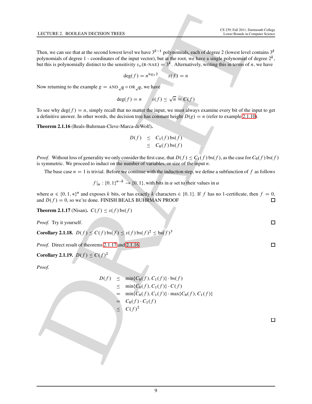Then, we can see that at the second lowest level we have  $3^{k-1}$  polynomials, each of degree 2 (lowest level contains  $3^k$ polynomials of degree 1 - coordinates of the input vector), but at the root, we have a single polynomial of degree  $2^k$ , but this is polynomially distinct to the sensitivity  $s_x(R\text{-NAE}) = 3^k$ . Alternatively, writing this in terms of *n*, we have

$$
\deg(f) = n^{\log_3 2} \qquad s(f) = n
$$

Now returning to the example  $g = \text{AND}_{\sqrt{n}} \circ \text{OR}_{\sqrt{n}}$ , we have

$$
\deg(f) = n \qquad s(f) \le \sqrt{n} = C(f)
$$

To see why deg(f) = n, simply recall that no matter the input, we must always examine every bit of the input to get a definitive answer. In other words, the decision tree has constant height  $D(g) = n$  (refer to example [2.1.10\)](#page-7-1).

<span id="page-9-1"></span>Theorem 2.1.16 (Beals-Buhrman-Cleve-Marca-deWolf).

$$
D(f) \leq C_1(f) \log(f)
$$
  

$$
\leq C_0(f) \log(f)
$$

*Proof.* Without loss of generality we only consider the first case, that  $D(f) \leq C_1(f)$  bs.f *f*), as the case for  $C_0(f)$  bs.f *f*) is symmetric. We proceed to induct on the number of variables, or size of the input  $n$ .

The base case  $n = 1$  is trivial. Before we continue with the induction step, we define a subfunction of f as follows

 $f |_{\alpha}: \{0, 1\}^{n-k} \to \{0, 1\}$ , with bits in  $\alpha$  set to their values in  $\alpha$ 

where  $\alpha \in \{0, 1, \ast\}^n$  and exposes k bits, or has exactly k characters  $\in \{0, 1\}$ . If f has no 1-certificate, then  $f = 0$ , and  $D(f) = 0$ , so we're done. FINISH BEALS BUHRMAN PROOF

<span id="page-9-0"></span>**Theorem 2.1.17** (Nisan).  $C(f) \leq s(f) \text{bs}(f)$ 

*Proof.* Try it yourself.

Corollary 2.1.18.  $D(f) \leq C(f) \log(f) \leq s(f) \log(f)^2 \leq \log(f)^3$ 

*Proof.* Direct result of theorems 2.1.17 and 2.1.16.

Corollary 2.1.19.  $D(f) \leq C(f)^2$ 

*Proof.*

**1.42. TUBRE 2.** BOOLEAN DECHSON TRHERS  
\nThen, we can see that at the second lowest level we have 
$$
3^{k-1}
$$
 polynomials, each of degree 2 (lowest level contains a  
\nChomorphism of degree 1 - coordinates of the input vector), but at the root, we have a single polynomial of degree  $2^k$ ,  
\nbut this is polynomially distinct to the sensitivity  $x_k$  (k=NA) =  $3^k$ . Alternatively, writing this in terms of  $n$ , we have  
\n
$$
\deg(f) = n
$$
\nNow returning to the example  $g = \text{AND}_{\sqrt{n}} \circ \text{OR}_{\sqrt{n}}$ , we have  
\n
$$
\deg(f) = n
$$
\n
$$
f(f) \le \sqrt{n} = C(f)
$$
\nTo see why  $\deg(f) = n$  
$$
f(f) = \sqrt{n} = C(f)
$$
\nTo see why  $\deg(f) = n$  
$$
f(f) = \sqrt{n} = C(f)
$$
\nTo see why  $\deg(f) = n$  
$$
f(f) = \sqrt{n} = C(f)
$$
\nTo see why  $\deg(f) = n$  *is* of the input to get  
\n
$$
\deg(f) = n
$$
\n
$$
f(f) \le \sqrt{n} = C(f)
$$
\nTo see why  $\deg(f) = n$  (since  $\deg(f)$ ) =  $\log(f)$  (for  $\deg(f)$ )  
\n
$$
f(f) = \frac{C}{2} + \log(1) + \log(1) + \log(1) + \log(1) + \log(1) + \log(1) + \log(1) + \log(1) + \log(1) + \log(1) + \log(1) + \log(1) + \log(1) + \log(1) + \log(1) + \log(1) + \log(1) + \log(1) + \log(1) + \log(1) + \log(1) + \log(1) + \log(1) + \log(1) + \log(1) + \log(1) + \log(1) + \log(1) + \log(1) + \log(1) + \log(1) + \log(1) + \log(1) + \log(1) + \log(1) + \log(1) + \log(1) + \log(1) + \log(1) + \log(1) + \log(1) + \log(1) + \log(1) + \log(1) + \log(1) + \log(1) + \log(1)
$$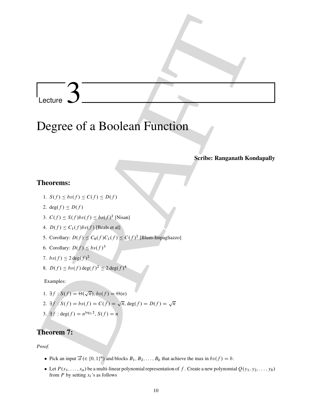# Lecture

# Lecture 3<br>
Degree of a Boolean Function<br>
series Rangunath Kondapally<br>
Theorems:<br>
1.  $s(t) \leq s(t) \leq C(t) \leq D(t)$ <br>
2.  $\alpha(g) \approx 0.0$ <br>
2.  $\alpha(g) \approx 0.0$ <br>
3.  $C(t) \leq \delta(t) b(s) t \leq \delta(s) C(t) \leq C(t)^2$ <br>
3.  $C(t) \leq \delta(t) b(s) \leq \delta(s) C(t) \leq C(t)^2$  (Dam Degree of a Boolean Function

## Scribe: Ranganath Kondapally

## Theorems:

- 1.  $S(f) \leq bs(f) \leq C(f) \leq D(f)$
- 2. deg $(f) \leq D(f)$
- 3.  $C(f) \le S(f)bs(f) \le bs(f)^2$  [Nisan]
- 4.  $D(f) \leq C_1(f)bs(f)$  [Beals et al]
- 5. Corollary:  $D(f) \leq C_0(f)C_1(f) \leq C(f)^2$  [Blum-Impagliazzo]
- 6. Corollary:  $D(f) \leq bs(f)^3$
- 7.  $bs(f) \leq 2 \deg(f)^2$
- 8.  $D(f) \leq bs(f) \deg(f)^2 \leq 2 \deg(f)^4$

Examples:

- 1.  $\exists f : S(f) = \Theta(\sqrt{n}), bs(f) = \Theta(n)$
- 2.  $\exists f : S(f) = bs(f) = C(f) = \sqrt{n}, \deg(f) = D(f) = \sqrt{n}$
- 3.  $\exists f : \text{deg}(f) = n^{\log_3 2}, S(f) = n$

## Theorem 7:

*Proof.*

- Pick an input  $\vec{a}$  ( $\in \{0, 1\}^n$ ) and blocks  $B_1, B_2, \ldots, B_b$  that achieve the max in  $bs(f) = b$ .
- Let  $P(x_1, \ldots, x_n)$  be a multi-linear polynomial representation of f. Create a new polynomial  $Q(y_1, y_2, \ldots, y_b)$ from  $P$  by setting  $x_i$ 's as follows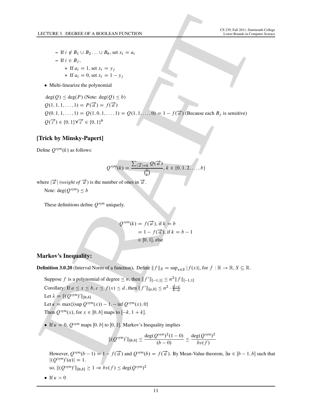- If  $i \notin B_1 \cup B_2 \ldots \cup B_b$ , set  $x_i = a_i$  $-$  If  $i \in B_i$ ,  $\ast$  If  $a_i = 1$ , set  $x_i = y_j$ \* If  $a_i = 0$ , set  $x_i = 1 - y_j$
- Multi-linearize the polynomial

LCCTURE 5. DCGREG OV ROOLLAN-FUNCTION<br>
THE U.S.  $\Phi(x, 0, 0, \ldots, 0, 0, \ldots, 0, -\alpha)$ <br>  $\Phi(x, 0) = x + \sum_{k=1}^{n} (x - 1, 0, 0, \ldots, 0, -\alpha)$ <br>  $\Phi(x, 0) = \sum_{k=1}^{n} (x - 1, 0, 0, \ldots, 0, -\beta)$ <br>  $Q(0, 1, 1, \ldots, 1) = P(1) = f(0, 1, \ldots, 0) = 1 - f(0)$  $deg(Q) \leq deg(P)$  (Note:  $deg(Q) \leq b$ )  $Q(1, 1, 1, \ldots, 1) = P(\vec{a}) = f(\vec{a})$  $Q(0, 1, 1, \ldots, 1) = Q(1, 0, 1, \ldots, 1) = Q(1, 1, \ldots, 0) = 1 - f(\vec{a})$  (Because each  $B_j$  is sensitive)  $Q(\vec{c}) \in \{0, 1\} \forall \vec{c} \in \{0, 1\}^b$ 

## [Trick by Minsky-Papert]

Define  $Q^{\text{sym}}(k)$  as follows:

$$
Q^{\text{sym}}(k) = \frac{\sum_{|\overrightarrow{a}|=k} Q(\overrightarrow{a})}{\binom{b}{k}}, k \in \{0, 1, 2, \ldots, b\}
$$

where  $|\vec{a}|$  (*weight of*  $\vec{a}$ ) is the number of ones in  $\vec{a}$ .

Note: deg $(Q^{sym}) \leq b$ 

These definitions define  $Q^{\text{sym}}$  uniquely.

$$
Q^{\text{sym}}(k) = f(\vec{a}), \text{ if } k = b
$$
  
= 1 - f(\vec{a}), if  $k = b - 1$   
 $\in [0, 1], \text{ else}$ 

## Markov's Inequality:

**Definition 3.0.20** (Interval Norm of a function). Define  $||f||_S = \sup_{x \in S} |f(x)|$ , for  $f : \mathbb{R} \to \mathbb{R}, S \subseteq \mathbb{R}$ .

Suppose f is a polynomial of degree  $\leq n$ , then  $||f'||_{[-1,1]} \leq n^2 ||f||_{[-1,1]}$ Corollary: If  $a \le x \le b, c \le f(x) \le d$ , then  $||f'||_{[a,b]} \le n^2 \cdot \frac{d-c}{b-a}$ Let  $\lambda = ||(Q^{\text{sym}})^{'}||_{[0,b]}$ Let  $\kappa = \max\{(\sup O^{sym}(x)) - 1, -\inf O^{sym}(x), 0\}$ Then  $Q^{\text{sym}}(x)$ , for  $x \in [0, b]$  maps to  $[-k, 1 + k]$ .

If  $\kappa = 0$ ,  $Q^{\text{sym}}$  maps [0, b] to [0, 1]. Markov's Inequality implies

$$
\| (Q^{\text{sym}})' \|_{[0,b]} \le \frac{\deg(Q^{\text{sym}})^2 (1-0)}{(b-0)} \le \frac{\deg(Q^{\text{sym}})^2}{bs(f)}
$$

However,  $Q^{\text{sym}}(b-1) = 1 - f(\vec{a})$  and  $Q^{\text{sym}}(b) = f(\vec{a})$ . By Mean-Value theorem,  $\exists \alpha \in [b-1, b]$  such that  $|(Q^{\text{sym}})'(\alpha)| = 1.$ so,  $||(Q^{\text{sym}})||_{[0,b]} \geq 1 \Rightarrow bs(f) \leq deg(Q^{\text{sym}})^2$ 

• If  $\kappa > 0$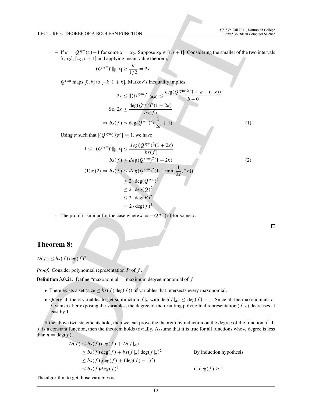– If  $\kappa = Q^{\text{sym}}(x) - 1$  for some  $x = x_0$ . Suppose  $x_0 \in [i, i + 1]$ . Considering the smaller of the two intervals  $[i, x_0]$ ,  $[x_0, i + 1]$  and applying mean-value theorem,

$$
\| (Q^{\text{sym}})' \|_{[0,b]} \ge \frac{\kappa}{1/2} = 2\kappa
$$

 $Q^{\text{sym}}$  maps [0, b] to  $[-k, 1 + k]$ . Markov's Inequality implies,

$$
2\kappa \le ||(Q^{\text{sym}})'||_{[0,b]} \le \frac{\deg(Q^{\text{sym}})^2(1+\kappa-(-\kappa))}{b-0}
$$
  
So,  $2\kappa \le \frac{\deg(Q^{\text{sym}})^2(1+2\kappa)}{bs(f)}$   

$$
\Rightarrow bs(f) \le \deg(Q^{\text{sym}})^2(\frac{1}{2\kappa}+1)
$$
 (1)

Using  $\alpha$  such that  $|(Q^{\text{sym}})'(\alpha)| = 1$ , we have

1.4C TURB:3, DECIREB: OF A BOOLEAN FURCTION  
\n= If 
$$
\kappa = Q^{syn}(k) - 1
$$
 for some  $x = x_0$ . Suppose  $x_0 \in [k, l + 1]$ . Considering the smaller of the two intervals  
\n
$$
[i, x_0], [x_0, i + 1] \text{ and applying near the theorem,}
$$
\n
$$
[(Q^{syn})^n][\omega_n] \ge \frac{\kappa}{1/2} = 2\kappa
$$
\n
$$
Q^{sym}
$$
 maps  $[0, b]$  to  $[-k, 1 + k]$ . Markov's Inequality implies,  
\n
$$
2\kappa \le \frac{\text{deg}(Q^{syn})^2(1 + 2\kappa)}{\hbar s(f)}
$$
\n
$$
= 50, 2\kappa \le \frac{\text{deg}(Q^{syn})^2(1 + 2\kappa)}{\hbar s(f)}
$$
\n
$$
\Rightarrow bs(f) \le \text{deg}(Q^{syn})^2(1 + 2\kappa)
$$
\nUsing  $\alpha$  such that  $[(Q^{Sym})^n(\alpha)] = 1$ , we have  
\n $1 \le [(Q^{sym})^n(\alpha)] = 1$ , we have  
\n
$$
1 \le [(Q^{sym})^n(\alpha)] = 1
$$
, we have  
\n
$$
1 \le [(Q^{sym})^n(\alpha)] = 1
$$
, we have  
\n
$$
s(f) \le \text{deg}(Q^{syn})^2(1 + 2\kappa)
$$
\n
$$
\le 2 \cdot \text{deg}(Q^{syn})^2(1 + \min\{\frac{1}{2\kappa}, 2\kappa\})
$$
\n
$$
\le 2 \cdot \text{deg}(Q^{syn})^2
$$
\n
$$
\le 2 \cdot \text{deg}(Q^{syn})^2
$$
\n
$$
\le 2 \cdot \text{deg}(Q^{syn})^2
$$
\n
$$
\le 2 \cdot \text{deg}(Q^{syn})^2
$$
\n
$$
\le 2 \cdot \text{deg}(Q^{syn})^2
$$
\n
$$
\le 2 \cdot \text{deg}(Q^{syn})^2
$$
\n
$$
\le 2 \cdot \text{deg}(Q^{syn})^2
$$
\n
$$
\le 2 \cdot \text{deg}(Q^{syn})^2
$$
\n
$$
\le 2 \cdot \text{deg
$$

– The proof is similar for the case where  $\kappa = -Q^{\text{sym}}(x)$  for some x.

## Theorem 8:

 $D(f) \leq bs(f) \deg(f)^2$ 

*Proof.* Consider polynomial representation P of f.

**Definition 3.0.21.** Define "maxonomial" = maximum degree monomial of  $f$ 

- There exists a set (size  $\leq bs(f)$  deg.f ) of variables that intersects every maxonomial.
- Query all these variables to get subfunction  $f|_{\alpha}$  with  $\deg(f|_{\alpha}) \leq \deg(f) 1$ . Since all the maxonomials of f vanish after exposing the variables, the degree of the resulting polynomial representation  $(f|\alpha)$  decreases at least by 1.

If the above two statements hold, then we can prove the theorem by induction on the degree of the function  $f$ . If  $f$  is a constant function, then the theorem holds trivially. Assume that it is true for all functions whose degree is less than  $n = \deg(f)$ .

$$
D(f) \le bs(f) \deg(f) + D(f|\alpha)
$$
  
\n
$$
\le bs(f) \deg(f) + bs(f|\alpha) \deg(f|\alpha)^2
$$
  
\n
$$
\le bs(f) (\deg(f) + (\deg(f) - 1)^2)
$$
  
\n
$$
\le bs(f) \deg(f)^2
$$
  
\nif deg(f) \ge 1

The algorithm to get those variables is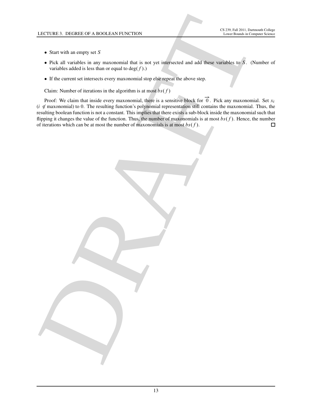- Start with an empty set  $S$
- Pick all variables in any maxonomial that is not yet intersected and add these variables to S. (Number of variables added is less than or equal to  $deg(f)$ .)
- If the current set intersects every maxonomial stop else repeat the above step.

Claim: Number of iterations in the algorithm is at most  $bs(f)$ 

LECTURE 3. DEGREG OF A BOOLGAN FUNCTION<br>
Start with an amply set  $S$ <br>
which is a finite through maximum and fact is not get measured and night maximum and the range matches of  $\oint$  (Number of the convention is the specifi Proof: We claim that inside every maxonomial, there is a sensitive block for  $\vec{0}$ . Pick any maxonomial. Set  $x_i$ ( $i \notin$  maxonomial) to 0. The resulting function's polynomial representation still contains the maxonomial. Thus, the resulting boolean function is not a constant. This implies that there exists a sub-block inside the maxonomial such that flipping it changes the value of the function. Thus, the number of maxonomials is at most  $bs(f)$ . Hence, the number of iterations which can be at most the number of maxonomials is at most  $bs(f)$ .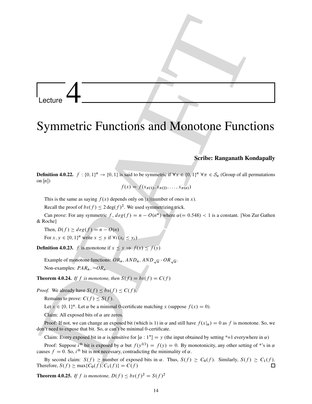# Lecture

## Symmetric Functions and Monotone Functions

## Scribe: Ranganath Kondapally

DRAFT **Definition 4.0.22.**  $f: \{0, 1\}^n \to \{0, 1\}$  is said to be symmetric if  $\forall x \in \{0, 1\}^n$   $\forall \pi \in S_n$  (Group of all permutations on  $[n]$ )

$$
f(x) = f(x_{\pi(1)}, x_{\pi(2)}, \dots, x_{\pi(n)})
$$

This is the same as saying  $f(x)$  depends only on  $|x|$ (number of ones in x).

Recall the proof of  $bs(f) \leq 2 \deg(f)^2$ . We used symmetrizing trick.

Can prove: For any symmetric f,  $deg(f) = n - O(n^{\alpha})$  where  $\alpha (= 0.548) < 1$  is a constant. [Von Zur Gathen & Roche]

Then,  $D(f) \geq deg(f) = n - O(n)$ For  $x, y \in \{0, 1\}^n$  write  $x \le y$  if  $\forall i (x_i \le y_i)$ 

**Definition 4.0.23.** f is monotone if  $x \le y \Rightarrow f(x) \le f(y)$ 

Example of monotone functions:  $OR_n$ ,  $AND_n$ ,  $AND_{\sqrt{n}}$  ·  $OR_{\sqrt{n}}$ . Non-examples:  $PAR_n, \neg OR_n$ .

**Theorem 4.0.24.** *If*  $f$  *is monotone, then*  $S(f) = bs(f) = C(f)$ 

*Proof.* We already have  $S(f) \le bs(f) \le C(f)$ .

Remains to prove:  $C(f) \leq S(f)$ .

Let  $x \in \{0, 1\}^n$ . Let  $\alpha$  be a minimal 0-certificate matching x (suppose  $f(x) = 0$ ).

Claim: All exposed bits of  $\alpha$  are zeros.

Proof: If not, we can change an exposed bit (which is 1) in  $\alpha$  and still have  $f(x|\alpha) = 0$  as f is monotone. So, we don't need to expose that bit. So,  $\alpha$  can't be minimal 0-certificate.

Claim: Every exposed bit in  $\alpha$  is sensitive for  $[\alpha : 1^*] = y$  (the input obtained by setting \*=1 everywhere in  $\alpha$ )

Proof: Suppose  $i^{\text{th}}$  bit is exposed by  $\alpha$  but  $f(y^{(i)}) = f(y) = 0$ . By monotonicity, any other setting of \*'s in  $\alpha$ causes  $f = 0$ . So, i<sup>th</sup> bit is not necessary, contradicting the minimality of  $\alpha$ .

By second claim:  $S(f) \ge$  number of exposed bits in  $\alpha$ . Thus,  $S(f) \ge C_0(f)$ . Similarly,  $S(f) \ge C_1(f)$ .<br>refore,  $S(f) > \max\{C_0(f), C_1(f)\} = C(f)$ Therefore,  $S(f) \ge \max\{C_0(f), C_1(f)\} = C(f)$ 

**Theorem 4.0.25.** *If f is monotone,*  $D(f) \leq bs(f)^2 = S(f)^2$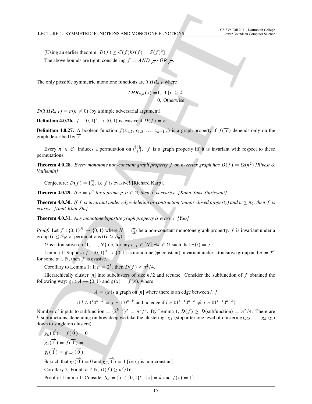[Using an earlier theorem:  $D(f) \le C(f)bs(f) = S(f)^2$ ] The above bounds are tight, considering  $f = AND_{\sqrt{n}} \cdot OR_{\sqrt{n}}$ .

The only possible symmetric monotone functions are  $THR_{n,k}$  where

$$
THR_{n,k}(x) = 1, \text{ if } |x| \ge k
$$
  
0, Otherwise

 $D(THR_{n,k}) = n(k \neq 0)$  (by a simple adversarial argument).

**Definition 4.0.26.**  $f: \{0, 1\}^n \to \{0, 1\}$  is evasive if  $D(f) = n$ .

**Definition 4.0.27.** A boolean function  $f(x_{1,2}, x_{1,3}, \ldots, x_{n-1,n})$  is a graph property if  $f(\vec{x})$  depends only on the graph described by  $\vec{x}$ .

Every  $\pi \in S_n$  induces a permutation on  $\binom{[n]}{2}$  $\binom{n}{2}$ . f is a graph property iff it is invariant with respect to these permutations.

**Theorem 4.0.28.** Every monotone non-constant graph property f on n-vertex graph has  $D(f) = \Omega(n^2)$  [Rivest & *Vuillemin]*

Conjecture:  $D(f) = {n \choose 2}$  $n_2$ , i.e f is evasive! [Richard Karp].

**Theorem 4.0.29.** If  $n = p^{\alpha}$  for a prime  $p, \alpha \in \mathbb{N}$ , then f is evasive. [Kahn-Saks-Sturtevant]

**Theorem 4.0.30.** If f is invariant under edge-deletion or contraction (minor closed property) and  $n \ge n_0$ , then f is *evasive. [Amit-Khot-Shi]*

Theorem 4.0.31. *Any monotone bipartite graph property is evasive. [Yao]*

*Proof.* Let  $f : \{0, 1\}^N \to \{0, 1\}$  where  $N = {n \choose 2}$  $n_2$ ) be a non-constant monotone graph property.  $f$  is invariant under a group  $G \leq S_N$  of permutations  $(G \cong S_n)$ .

G is a transitive on  $\{1, \ldots, N\}$  i.e, for any  $i, j \in [N], \exists \pi \in G$  such that  $\pi(i) = j$ .

Lemma 1: Suppose  $f: \{0, 1\}^d \to \{0, 1\}$  is monotone ( $\neq$  constant), invariant under a transitive group and  $d = 2^{\alpha}$ for some  $\alpha \in \mathbb{N}$ , then f is evasive.

Corollary to Lemma 1: If  $n = 2^k$ , then  $D(f) \geq n^2/4$ .

Hierarchically cluster [n] into subclusters of size  $n/2$  and recurse. Consider the subfunction of f obtained the following way:  $g_i: A \to \{0, 1\}$  and  $g(x) = f(x)$ , where

 $A = \{x \text{ is a graph on } [n] \text{ where there is an edge between } l, j \}$ 

if 
$$
l \wedge 1^{i} 0^{n-k} = j \wedge 1^{i} 0^{n-k}
$$
 and no edge if  $l \wedge 01^{i-1} 0^{n-k} \neq j \wedge 01^{i-1} 0^{n-k}$ 

Number of inputs to subfunction  $= (2^{k-1})^2 = n^2/4$ . By Lemma 1,  $D(f) \ge D$ (subfunction)  $= n^2/4$ . There are k subfunctions, depending on how deep we take the clustering:  $g_1$  (stop after one level of clustering), $g_2, \ldots, g_k$  (go down to singleton clusters).

**1.ECTURE 4.** SYMMETRIC FUNCTIONS AND MONOTONE FIXCTIONS  
\n[Using an earlier theorem: 
$$
D(f) \le C(f)bs(f) = S(f)^2
$$
]  
\nThe only possible symmetric monotone functions are  $THR_{n,k}$  where  
\n $THR_{n,k}(x) = 1$ , if  $|x| \ge k$   
\n $D(THR_{n,k}) = n(k \ne 0)$  (by a simple adversarial argument).  
\n**Definition 4.0.26.**  $f : \{0, 1\}^n \rightarrow \{0, 1\}$  is evasive if  $D(f) = n$ .  
\n**Definition 4.0.27.** A boolean function  $f(x_{1,2}, x_{1,3},..., x_{n-1,n})$  is a graph property if  $f(\vec{x})$  depends only on the  
\n**Definition 4.0.28.** Every  $n \in \mathbb{R}_n$  induces a permutation of  $\binom{[n]}{2}$ .  $f$  is a graph property if  $f(\vec{x})$  depends only on the  
\n**Definition 4.0.28.** Every monotone non-constant graph property of an *n*-vertex graph has  $D(f) = \Omega(n^2)$  (Rivest &  
\n**Theorem 4.0.28.** Every monotone non-constant graph property  $f$  on *n*-vertex graph has  $D(f) = \Omega(n^2)$  (Rivest &  
\n**Theorem 4.0.29.** If  $n = p^a$  for a prime  $p, a \in \mathbb{N}$ , then  $f$  is easyly. [Roin-Saks-Sunrevan!  
\n**Theorem 4.0.30.** If  $f$  is invariant under edge *d* elements  $R$  apply  
\n**Theorem 4.0.31.** Any monotone bipartite graph property is evasive. [Kabn-Sak-Sunrevan!  
\n**Theorem 4.0.31.** Any monotone bipartite graph property is easy to be a non-constant monotone graph property,  $f$  is invariant under a  
\n**Theorem 4.0.31.** Any monotone bipartite graph property is easyly,  $f \in [m]$ .  
\n**Theorem 4.0.31.** Any monotone bipartite graph property is easyly,  $f = [m]$ .  
\n**Theorem 4.0.32.** If  $1 = p^a$  for a prime,  $q \in$ 

Proof of Lemma 1: Consider  $S_k = \{x \in \{0, 1\}^* : |x| = k \text{ and } f(x) = 1\}$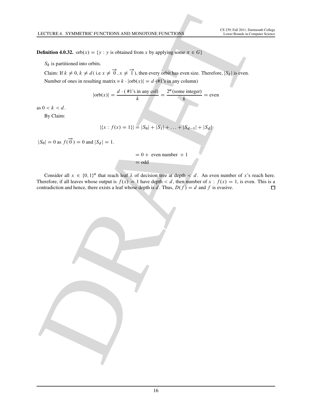**Definition 4.0.32.** orb $(x) = \{y : y \text{ is obtained from } x \text{ by applying some } \pi \in G\}$ 

 $S_k$  is partitioned into orbits.

Claim: If  $k \neq 0, k \neq d$  (i.e  $x \neq \overrightarrow{0}, x \neq \overrightarrow{1}$ ), then every orbit has even size. Therefore,  $|S_k|$  is even. Number of ones in resulting matrix =  $k \cdot |\text{orb}(x)| = d \cdot (41)$ 's in any column)

$$
|\text{orb}(x)| = \frac{d \cdot (\#1 \text{'s in any col})}{k} = \frac{2^{\alpha}(\text{some integer})}{k} = \text{even}
$$

as  $0 < k < d$ .

By Claim:

$$
|\{x : f(x) = 1\}| = |S_0| + |S_1| + \ldots + |S_{d-1}| + |S_d|
$$

 $|S_0| = 0$  as  $f(\vec{0}) = 0$  and  $|S_d| = 1$ .

 $= 0 +$  even number  $+1$  $=$  odd

LECTURE 4. SYSTELTERC PUNCTIONS AND MONOTONE PUNCTIONS<br>
Nefinition 4.0.22. or f(x) – 1y - y is character from y by applying some are contained a stress as a metric or<br>
Solution 12 + f(x) + d(x) + d(x) + d(x) + f(x) and ne Consider all  $x \in \{0, 1\}^n$  that reach leaf  $\lambda$  of decision tree at depth  $\lt d$ . An even number of x's reach here. Therefore, if all leaves whose output is  $f(x) = 1$  have depth  $\lt d$ , then number of  $x : f(x) = 1$ , is even. This is a contradiction and hence, there exists a leaf whose depth is d. Thus,  $D(f) = d$  and f is evasive. contradiction and hence, there exists a leaf whose depth is d. Thus,  $D(f) = d$  and f is evasive.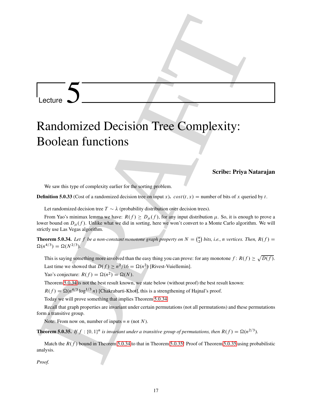# Lecture

# Lecture **5**<br> **Contains and Construction Construction Construction (a)**  $\mathbf{F} = \mathbf{F} \mathbf{F} \mathbf{F} \mathbf{F} \mathbf{F} \mathbf{F} \mathbf{F} \mathbf{F} \mathbf{F} \mathbf{F} \mathbf{F} \mathbf{F} \mathbf{F} \mathbf{F} \mathbf{F} \mathbf{F} \mathbf{F} \mathbf{F} \mathbf{F} \mathbf{F} \mathbf{F} \mathbf{F} \mathbf{F} \mathbf{$ Randomized Decision Tree Complexity: Boolean functions

## Scribe: Priya Natarajan

We saw this type of complexity earlier for the sorting problem.

**Definition 5.0.33** (Cost of a randomized decision tree on input x).  $cost(t, x)$  = number of bits of x queried by t.

Let randomized decision tree  $T \sim \lambda$  (probability distribution over decision trees).

From Yao's minimax lemma we have:  $R(f) \ge D_{\mu}(f)$ , for any input distribution  $\mu$ . So, it is enough to prove a lower bound on  $D_{\mu}$  (f). Unlike what we did in sorting, here we won't convert to a Monte Carlo algorithm. We will strictly use Las Vegas algorithm.

<span id="page-17-0"></span>**Theorem 5.0.34.** Let  $f$  be a non-constant monotone graph property on  $N = \binom{n}{2}$  $\binom{n}{2}$  bits, i.e., *n* vertices. Then,  $R(f) =$  $\Omega(n^{4/3}) = \Omega(N^{2/3}).$ 

This is saying something more involved than the easy thing you can prove: for any monotone  $f: R(f) \ge \sqrt{D(f)}$ . Last time we showed that  $D(f) \ge n^2/16 = \Omega(n^2)$  [Rivest-Vuiellemin].

Yao's conjecture:  $R(f) = \Omega(n^2) = \Omega(N)$ .

Theorem 5.0.34 is not the best result known, we state below (without proof) the best result known:

 $R(f) = \Omega(n^{4/3} \log^{1/3} n)$  [Chakrabarti-Khot], this is a strengthening of Hajnal's proof.

Today we will prove something that implies Theorem 5.0.34.

Recall that graph properties are invariant under certain permutations (not all permutations) and these permutations form a transitive group.

<span id="page-17-1"></span>Note: From now on, number of inputs  $= n$  (not N).

**Theorem 5.0.35.** If  $f : \{0, 1\}^n$  is invariant under a transitive group of permutations, then  $R(f) = \Omega(n^{2/3})$ .

Match the  $R(f)$  bound in Theorem 5.0.34 to that in Theorem 5.0.35! Proof of Theorem 5.0.35 using probabilistic analysis.

*Proof.*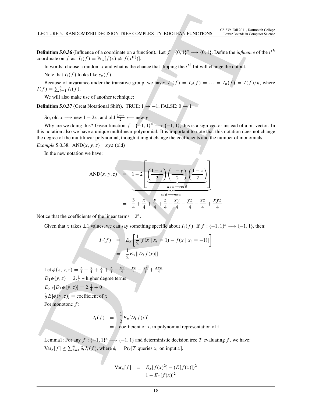**Definition 5.0.36** (Influence of a coordinate on a function). Let  $f : \{0, 1\}^n \longrightarrow \{0, 1\}$ . Define the *influence* of the *i*<sup>th</sup> coordinate on f as:  $I_i(f) = Pr_x[f(x) \neq f(x^{(i)})].$ 

In words: choose a random x and what is the chance that flipping the  $i<sup>th</sup>$  bit will change the output.

Note that  $I_i(f)$  looks like  $s_x(f)$ .

Because of invariance under the transitive group, we have:  $I_1(f) = I_2(f) = \cdots = I_n(f) = I(f)/n$ , where  $I(f) = \sum_{i=1}^{n} I_i(f).$ 

We will also make use of another technique:

**Definition 5.0.37** (Great Notational Shift). TRUE:  $1 \rightarrow -1$ ; FALSE:  $0 \rightarrow 1$ 

So, old  $x \rightarrow \text{new } 1 - 2x$ , and old  $\frac{1-y}{2} \leftarrow \text{new } y$ 

Why are we doing this? Given function  $f: \{-1, 1\}^n \longrightarrow \{-1, 1\}$ , this is a sign vector instead of a bit vector. In this notation also we have a unique multilinear polynomial. It is important to note that this notation does not change the degree of the multilinear polynomial, though it might change the coefficients and the number of monomials.

*Example* 5.0.38*.* AND $(x, y, z) = xyz$  (old)

In the new notation we have:

DRAFT AND.x; y; z/ D 1 2 2 6 6 6 4 1 x 2 1 y 2 1 z 2 " ƒ' … new!old 3 7 7 7 5 " ƒ' … old!new D 3 4 C x 4 C y 4 C z 4 xy 4 yz 4 xz 4 C xyz 4

Notice that the coefficients of the linear terms =  $2^n$ .

Given that x takes  $\pm 1$  values, we can say something specific about  $I_i(f)$ : If  $f: \{-1, 1\}^n \longrightarrow \{-1, 1\}$ , then:

$$
I_i(f) = E_x \left[ \frac{1}{2} |f(x | x_i = 1) - f(x | x_i = -1)| \right]
$$
  
= 
$$
-\frac{1}{2} E_x [|D_i f(x)|]
$$

Let  $\phi(x, y, z) = \frac{3}{4} + \frac{x}{4} + \frac{y}{4} + \frac{z}{4} - \frac{xy}{4} - \frac{yz}{4} - \frac{xz}{4} + \frac{xyz}{4}$ 4  $D_1\phi(y, z) = 2.\frac{1}{4} + \text{higher degree terms}$  $E_{y,z}[D_1\phi(y,z)] = 2.\frac{1}{4} + 0$  $\frac{1}{2}E[\phi(y, z)] = \text{coefficient of } x$ For monotone  $f$ :

$$
I_i(f) = \frac{1}{2} E_x[D_i f(x)]
$$
  
= coefficient of x<sub>i</sub> in polynomial representation of f

Lemma1: For any  $f: \{-1, 1\}^n \longrightarrow \{-1, 1\}$  and deterministic decision tree T evaluating f, we have:  $\text{Var}_x[f] \leq \sum_{i=1}^n \delta_i I_i(f)$ , where  $\delta_i = \Pr_x[T]$  queries  $x_i$  on input  $x$ .

$$
Var_x[f] = E_x[f(x)^2] - (E[f(x)])^2
$$
  
= 1 - E\_x[f(x)]^2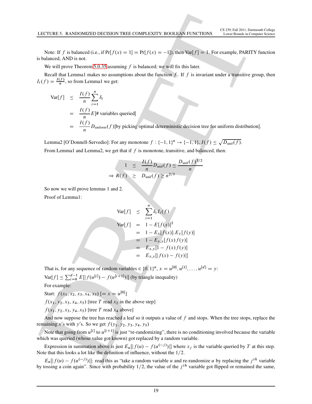Note: If f is balanced (i.e., if  $Pr[f(x) = 1] = Pr[f(x) = -1]$ ), then Var $[f] = 1$ . For example, PARITY function is balanced, AND is not.

We will prove Theorem 5.0.35 assuming  $f$  is balanced; we will fix this later.

Recall that Lemma1 makes no assumptions about the function  $f$ . If  $f$  is invariant under a transitive group, then  $I_i(f) = \frac{I(f)}{n}$  $\frac{J}{n}$ , so from Lemma1 we get:

**1.42.17**UURE 5, RANDOMIZED DECISION TREE CONPLEXITY: BODLEAY FURCTONS  
\nNote: If *f* is balanced (i.e., if Pf|*f*(*x*) = 1] = Pf|*f*(*x*) = −1|), then Vaff|*f* = 1. For example, PARTY function  
\nis balanced, AND is not.  
\nWe will prove Theorem 5.0.35 assuming *f* is balanced; we will fix this later.  
\nRecall that Lemma I makes no assumptions about the function *f*, If *f* is invariant under a transitive group, then  
\n
$$
I(f) = \frac{I(f)}{n} \sum_{i=1}^{n} s_i
$$
\n
$$
= \frac{I(f)}{n} \sum_{i=1}^{n} s_i
$$
\n
$$
= \frac{I(f)}{n} \sum_{i=1}^{n} s_i
$$
\n
$$
= \frac{I(f)}{n} \sum_{i=1}^{n} s_i
$$
\n
$$
= \frac{I(f)}{n} \sum_{i=1}^{n} s_i
$$
\n
$$
= \frac{I(f)}{n} \sum_{i=1}^{n} s_i
$$
\nFrom Lemma1 and Lemma2, we get that if *f* is monotone, transitive, and balanced, then:  
\n
$$
1 \leq \frac{I(f)}{n} \sum_{i=1}^{n} \sum_{i=1}^{n} s_i
$$
\nSo now we will prove lemma1 and 2.  
\nProof of Lemma1:  
\n
$$
= \frac{V_1(f)}{n} \sum_{i=1}^{n} \sum_{i=1}^{n} \delta_i I_i(f)
$$
\n
$$
Var[f] = 1 - E[f(s)]^2
$$
\n
$$
= 1 - E[f(s)]^2
$$
\nSo now we will prove lemma1 and 2.  
\nProof: 
$$
Var[f] = 1 - E[f(s)]^2
$$
\n
$$
= 1 - E[f(s)]^2
$$
\n
$$
= 1 - E[f(s)]^2
$$
\n
$$
= 1 - E[f(s)]^2
$$
\n
$$
= 1 - E[f(s)]^2
$$
\n
$$
= 1 - E[f(s)]^2
$$
\n
$$
= 1 - E[f(s)]^2
$$
\n
$$
= 1 - E[f(s)]^2
$$
\n<

Lemma2 [O'Donnell-Servedio]: For any monotone  $f: \{-1, 1\}^n \to \{-1, 1\}$ ,  $I(f) \leq \sqrt{D_{\text{unif}}(f)}$ . From Lemma1 and Lemma2, we get that if  $f$  is monotone, transitive, and balanced, then:

$$
1 \leq \frac{I(f)}{n} D_{\text{unif}}(f) \leq \frac{D_{\text{unif}}(f)^{3/2}}{n}
$$
  
\n
$$
\Rightarrow R(f) \geq D_{\text{unif}}(f) \geq n^{2/3}
$$

So now we will prove lemmas 1 and 2.

Proof of Lemma1:

$$
\begin{aligned}\n\text{Var}[f] &\leq \sum_{i=1}^{n} \delta_i I_i(f) \\
\text{Var}[f] &= 1 - E[f(x)]^2 \\
&= 1 - E_x[f(x)].E_y[f(y)] \\
&= 1 - E_{x,y}[f(x)f(y)] \\
&= E_{x,y}[1 - f(x)f(y)] \\
&= E_{x,y}[|f(x) - f(y)|]\n\end{aligned}
$$

That is, for any sequence of random variables  $\in \{0, 1\}^n$ ,  $x = u^{[0]}$ ,  $u^{[1]}$ , ...,  $u^{[d]} = y$ :

 $\text{Var}[f] \le \sum_{i=0}^{d-1} E[|f(u^{[i]}) - f(u^{[i+1]})|]$  (by triangle inequality)

For example:

Start:  $f(x_1, x_2, x_3, x_4, x_5)$  [=  $x = u^{[0]}$ ]

 $f(x_1, y_2, x_3, x_4, x_5)$  [tree T read  $x_2$  in the above step]

 $f(x_1, y_2, x_3, y_4, x_5)$  [tree T read  $x_4$  above]

And now suppose the tree has reached a leaf so it outputs a value of  $f$  and stops. When the tree stops, replace the remaining x's with y's. So we get  $f(y_1, y_2, y_3, y_4, y_5)$ 

Note that going from  $u^{[i]}$  to  $u^{[i+1]}$  is just "re-randomizing", there is no conditioning involved because the variable which was queried (whose value got known) got replaced by a random variable.

Expression in summation above is just  $E_u[[f(u) - f(u^{(\sim j)})]]$  where  $x_j$  is the variable queried by T at this step. Note that this looks a lot like the definition of influence, without the  $1/2$ .

 $E_u[|f(u) - f(u^{(\sim j)})|]$ : read this as "take a random variable u and re-randomize u by replacing the j<sup>th</sup> variable by tossing a coin again". Since with probability  $1/2$ , the value of the  $j<sup>th</sup>$  variable got flipped or remained the same,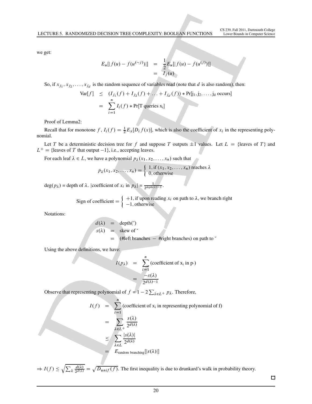we get:

$$
E_u[|f(u) - f(u^{(\sim j)})|] = \frac{1}{2} E_u[|f(u) - f(u^{(j)})|]
$$
  
=  $I_j(u)$ 

So, if  $x_{j_1}, x_{j_2}, \ldots, x_{j_d}$  is the random sequence of variables read (note that d is also random), then:

$$
Var[f] \leq (I_{j_1}(f) + I_{j_2}(f) + \dots + I_{j_d}(f)) * Pr[j_1, j_2, \dots, j_d \text{ occurs}]
$$
  
= 
$$
\sum_{i=1}^{n} I_i(f) * Pr[T \text{ queries } x_i]
$$

Proof of Lemma2:

Recall that for monotone f,  $I_i(f) = \frac{1}{2}E_x[D_i f(x)]$ , which is also the coefficient of  $x_i$  in the representing polynomial.

Let T be a deterministic decision tree for f and suppose T outputs  $\pm 1$  values. Let  $L = \{$ leaves of T $\}$  and  $L^+$  = {leaves of T that output -1}, i.e., accepting leaves.

For each leaf  $\lambda \in L$ , we have a polynomial  $p_{\lambda}(x_1, x_2, \dots, x_n)$  such that

$$
p_{\lambda}(x_1, x_2, \dots, x_n) = \begin{cases} 1, \text{if } (x_1, x_2, \dots, x_n) \text{ reaches } \lambda \\ 0, \text{otherwise} \end{cases}
$$

 $deg(p_\lambda) = depth of \lambda$ . |coefficient of  $x_i$  in  $p_\lambda$ |= 1  $2^{\text{depth}(\lambda) - 1}$ .

Sign of coefficient = 
$$
\begin{cases} +1, & \text{if upon reading } x_i \text{ on path to } \lambda \text{, we branch right} \\ -1, & \text{otherwise} \end{cases}
$$

Notations:

$$
d(\lambda) = \text{depth}(\check{ }),
$$
  
s(\lambda) = skew of  $\check{ }$   
= (#left branches - #right branches) on path to  $\check{ }$ 

Using the above definitions, we have:

$$
I(p_{\lambda}) = \sum_{i=1}^{n} (\text{coefficient of } x_i \text{ in } p \cdot)
$$
  
= 
$$
\frac{-s(\lambda)}{2^{d(\lambda)-1}}
$$

Observe that representing polynomial of  $f = 1 - 2 \sum_{\lambda \in L^+} p_{\lambda}$ . Therefore,

DRAFT I.f / D Xn iD1 .coefficient of x<sup>i</sup> in representing polynomial of f/ D X 2L<sup>C</sup> s./ 2 d./ X 2L js./j 2 d./ D Erandom branchingŒjs./j

 $\Rightarrow I(f) \leq \sqrt{\sum_{\lambda} \frac{d(\lambda)}{2^{d(\lambda)}}} = \sqrt{D_{unif}(f)}$ . The first inequality is due to drunkard's walk in probability theory.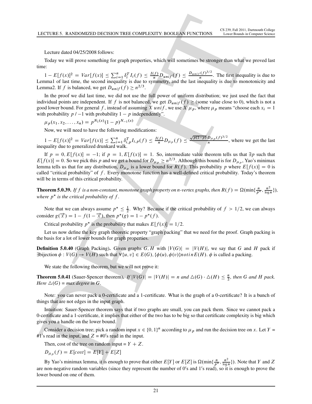Lecture dated 04/25/2008 follows:

Today we will prove something for graph properties, which will sometimes be stronger than what we proved last time:

 $1 - E[f(x)]^2 = Var[f(x)] \le \sum_{i=1}^n \delta_i^T I_i(f) \le \frac{I(f)}{n} D_{unif}(f) \le \frac{D_{unif}(f)^{3/2}}{n}$  $\frac{y}{n}$ . The first inequality is due to Lemma1 of last time, the second inequality is due to symmetry, and the last inequality is due to monotonicity and Lemma2. If f is balanced, we get  $D_{unif}(f) \ge n^{2/3}$ .

In the proof we did last time, we did not use the full power of uniform distribution; we just used the fact that individual points are independent. If f is not balanced, we get  $D_{unif}(f) \geq$  (some value close to 0), which is not a good lower bound. For general f, instead of assuming X unif, we use X  $\mu_p$ , where  $\mu_p$  means "choose each  $x_i = 1$ with probability  $p / -1$  with probability  $1 - p$  independently".

 $\mu_p(x_1, x_2, \dots, x_n) = p^{N_1(x)}(1-p)^{N_{-1}(x)}$ 

Now, we will need to have the following modifications:

 $1 - E[f(x)]^2 = Var[f(x)] \le \sum_{i=1}^n \delta_{i,p}^T I_{i,p}(f) \le \frac{I(f)}{n} D_{\mu_p}(f) \le \frac{\sqrt{p(1-p)} \cdot D_{\mu_p}(f)^{3/2}}{n}$ , where we get the last inequality due to generalized drunkard walk.

LECTURE > RANDOMEZIO DECESON TREE CONFUENT ENOXUES (VINCTIONS <sup>1</sup>1.000 Animal states of the state of the state of the state of the state of the state of the state of the state of the state of the state of the state of the If  $p = 0, E[f(x)] = -1$ ; if  $p = 1, E[f(x)] = 1$ . So, intermediate value theorem tells us that  $\exists p$  such that  $E[f(x)] = 0$ . So we pick this p and we get a bound for  $D_{\mu_p} \ge n^{2/3}$ . Although this bound is for  $D_{\mu_p}$ , Yao's minimax lemma tells us that for any distribution,  $D_{\mu_p}$  is a lower bound for  $R(f)$ . This probability p where  $E[f(x)] = 0$  is called "critical probability" of  $f$ . Every monotone function has a well-defined critical probability. Today's theorem will be in terms of this critical probability.

**Theorem 5.0.39.** If f is a non-constant, monotone graph property on n-vertex graphs, then  $R(f) = \Omega(\min\{\frac{n}{p^*}, \frac{n^2}{\log n}\})$  $\frac{n^2}{\log n}\},$ where  $p^*$  is the critical probability of f.

Note that we can always assume  $p^* \leq \frac{1}{2}$ . Why? Because if the critical probability of  $f > 1/2$ , we can always consider  $g(\vec{x}) = 1 - f(1 - \vec{x})$ , then  $p^*(g) = 1 - p^*(f)$ .

Critical probability  $p^*$  is the probability that makes  $E[f(x)] = 1/2$ .

Let us now define the key graph theoretic property "graph packing" that we need for the proof. Graph packing is the basis for a lot of lower bounds for graph properties.

**Definition 5.0.40** (Graph Packing). Given graphs G, H with  $|V(G)| = |V(H)|$ , we say that G and H pack if  $\exists$ bijection  $\phi: V(G) \to V(H)$  such that  $\forall \{u, v\} \in E(G), \{\phi(u), \phi(v)\}\$ notin $E(H)$ .  $\phi$  is called a packing.

We state the following theorem, but we will not prove it:

**Theorem 5.0.41** (Sauer-Spencer theorem). If  $|V(G)| = |V(H)| = n$  and  $\Delta(G) \cdot \Delta(H) \leq \frac{n}{2}$ , then G and H pack. *Here*  $\Delta(G)$  = *max degree in G*.

Note: you can never pack a 0-certificate and a 1-certificate. What is the graph of a 0-certificate? It is a bunch of things that are not edges in the input graph.

Intuition: Sauer-Spencer theorem says that if two graphs are small, you can pack them. Since we cannot pack a 0-certificate and a 1-certificate, it implies that either of the two has to be big so that certificate complexity is big which gives you a handle on the lower bound.

Consider a decision tree; pick a random input  $x \in \{0, 1\}^n$  according to  $\mu_p$  and run the decision tree on x. Let  $Y =$ #1's read in the input, and  $Z = \text{\#0's}$  read in the input.

Then, cost of the tree on random input =  $Y + Z$ .

 $D_{\mu_p}(f) = E[cost] = E[Y] + E[Z]$ 

By Yao's minimax lemma, it is enough to prove that either  $E[Y]$  or  $E[Z]$  is  $\Omega(\min\{\frac{n}{p^*},\frac{n^2}{\log n}\})$  $\frac{n^2}{\log n}$ ). Note that Y and Z are non-negative random variables (since they represent the number of  $0's$  and  $1's$  read), so it is enough to prove the lower bound on one of them.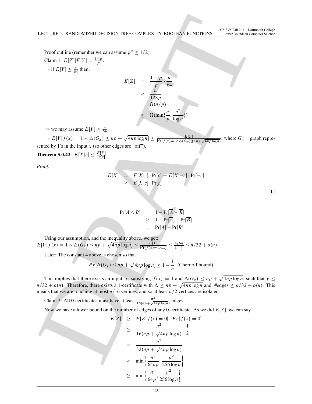Proof outline (remember we can assume  $p^* \leq 1/2$ ): Claim 1:  $E[Z]|E[Y] = \frac{1-p}{p}$ .  $\Rightarrow$  if  $E[Y] \geq \frac{n}{64}$  then:

$$
E[Z] = \frac{1-p}{p} \cdot \frac{n}{64}
$$
  
\n
$$
\geq \frac{n}{128p}
$$
  
\n
$$
= \frac{\Omega(n/p)}{\Omega(\min{\frac{n}{p}, \frac{n^2}{\log{n}}})}
$$

 $\Rightarrow$  we may assume  $E[Y] \leq \frac{n}{64}$ .

 $\Rightarrow E[Y|f(x) = 1 \land \Delta(G_x) \leq np + \sqrt{4np \log n}] \leq \frac{E[Y]}{\Pr[f(x) = 1 \land \Delta(G_x) \leq np + \sqrt{4np \log n}]},$  where  $G_x =$  graph represented by  $1$ 's in the input x (so other edges are "off").

**Theorem 5.0.42.**  $E[X|c] \le \frac{E[X]}{Pr[c]}$  $Pr[c]$ 

*Proof.*

$$
E[X] = E[X|c] \cdot Pr[c] + E[X|\neg c] \cdot Pr[\neg c]
$$
  
\n
$$
\geq E[X|c] \cdot Pr[c]
$$

$$
Pr[A \wedge B] = 1 - Pr[\overline{A} \vee \overline{B}]
$$
  
\n
$$
\geq 1 - Pr[\overline{A}] - Pr[\overline{B}]
$$
  
\n
$$
= Pr[A] - Pr[\overline{B}]
$$

Using our assumption, and the inequality above, we get:  $E[Y|f(x) = 1 \land \Delta(G_x) \leq np + \sqrt{4np \log n}] \leq \frac{E[Y]}{\Pr[f(x) = 1 \land ...]} \leq \frac{n/64}{\frac{1}{2} - \frac{1}{n}} \leq n/32 + o(n)$ 

Later: The constant 4 above is chosen so that

$$
Pr[\Delta(G_x) \le np + \sqrt{4np \log n}] \ge 1 - \frac{1}{n}
$$
 (Chernoff bound)

LECTURES. RANDOMIZED DECESION TREE COMPLEXITY: BOOKLOV TENDS <sup>1</sup>. (AND AND LETTING)<br>
DRAFT COMPRESSION TREE COMPLEXITY: BOOKLOV TENDS <sup>1</sup>. (AND AND LETTING)<br>
THE PRESSURE OF THE PART COMPRESSION CONTRACT COMPRESSION CONTR This implies that there exists an input, x, satisfying  $f(x) = 1$  and  $\Delta(G_x) \le np + \sqrt{4np \log n}$ , such that  $y \le$  $n/32 + o(n)$ . Therefore, there exists a 1-certificate with  $\Delta \leq np + \sqrt{4np \log n}$  and #edges  $\leq n/32 + o(n)$ . This means that we are touching at most  $n/16$  vertices, and so at least  $n/2$  vertices are isolated.

Claim 2: All 0-certificates must have at least  $\frac{n^2}{16(n+1)}$  $\frac{n^2}{16(np + \sqrt{4np \log n})}$  edges.

Now we have a lower bound on the number of edges of any 0-certificate. As we did  $E[Y]$ , we can say

$$
E[Z] \geq E[Z|f(x) = 0] \cdot Pr[f(x) = 0]
$$
  
\n
$$
\geq \frac{n^2}{16(np + \sqrt{4np \log n}} \cdot \frac{1}{2}
$$
  
\n
$$
= \frac{n^2}{32(np + \sqrt{4np \log n})}
$$
  
\n
$$
\geq \min \left\{ \frac{n^2}{64np}, \frac{n^2}{256 \log n} \right\}
$$
  
\n
$$
\geq \min \left\{ \frac{n}{64p}, \frac{n^2}{256 \log n} \right\}
$$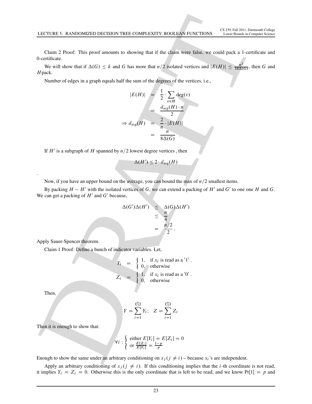Claim 2 Proof: This proof amounts to showing that if the claim were false, we could pack a 1-certificate and 0-certificate.

We will show that if  $\Delta(G) \leq k$  and G has more that  $n/2$  isolated vertices and  $|E(H)| \leq \frac{n^2}{16\Delta(G)}$ , then G and Hpack.

Number of edges in a graph equals half the sum of the degrees of the vertices, i.e.,

1.14 C TUREB. 5. RANDOMIZED DECISION TREE CONPLEXITY: BOOLEAN FURC TONS (3.89, Pul 301), Domomin CAlsoy  
\nChain 2 Proof. This proof amounts to showing that if the claim were false, we could pack a 1-centlicate and We will show that if 
$$
\Delta(G) \leq k
$$
 and G has more that  $n/2$  isolated vertices and  $|E(H)| \leq \frac{1}{16\Delta(G)}$ , then G and HPack.  
\nNumber of edges in a graph equals half the sum of the degrees of the vertices, i.e.,  $|E(H)| = \frac{1}{2} \cdot \sum_{x \in H} \text{deg}(x)$   
\n $\Rightarrow d_{avg}(H) = \frac{2}{\Delta \cdot (E(H))} \cdot \frac{1}{n}$   
\n $\Rightarrow d_{avg}(H) = \frac{2}{\Delta \cdot (E(H))} \cdot \frac{1}{n}$   
\nIf H' is a subgraph of H spanned by n/2 lowest degree vertices, then  $\Delta(H') \leq 2 \cdot d_{seg}(H)$ 

\nNow, if you have an upper bound on the average, you can bound the max of n/2 smallest items. By packing  $H - H'$  with the isolated vertices of G, we can extend a packing of H' and G' to one one H and G. We can get a packing of H' and G' because,  $\Delta(G')\Delta(H') \leq \Delta(G)\Delta(H')$   
\n $\leq \frac{1}{4} \frac{1}{\Delta}$ 

\nApply Sauer-Spercer theorem.

\nClaim 11 Proof: Define a bunch of indicator variables. Let,

\nClaim 27.1

\nThen,

\nThen,

\n $Y = \begin{cases} 1, & \text{if } X_i \text{ is read as a '1'}. \\ 0, & \text{otherwise.} \end{cases}$ 

\nThen,  $Y = \begin{cases} 2, & \text{if } Y_i \text{ is red as a '1'}. \\ 0, & \text{otherwise.} \end{cases}$ 

\nThen,  $Y = \begin{cases} 2, & \text{if } Y_i \text{ is red as a '1'}. \\ 0, & \text{otherwise.} \end{cases}$ 

\nThen,  $Y = \begin{cases} 2, & \text{if } Y_i \text{ is red as a '1'}. \\ 0, & \text{otherwise.} \end{cases}$ 

\nThen,  $Y = \begin{cases} 2, & \text{$ 

If  $H'$  is a subgraph of H spanned by  $n/2$  lowest degree vertices, then

$$
-\Delta(H') \leq 2 \cdot d_{\text{avg}}(H)
$$

Now, if you have an upper bound on the average, you can bound the max of  $n/2$  smallest items.

By packing  $H - H'$  with the isolated vertices of G, we can extend a packing of  $H'$  and  $G'$  to one one H and G. We can get a packing of  $H'$  and  $G'$  because,

$$
\Delta(G')\Delta(H') \leq \Delta(G)\Delta(H') \leq \frac{n}{4} \n= \frac{n/2}{2}.
$$

Apply Sauer-Spencer theorem.

Claim 1 Proof: Define a bunch of indicator variables. Let,

$$
Y_i = \begin{cases} 1, & \text{if } x_i \text{ is read as a '1'}. \\ 0, & \text{otherwise} \end{cases}
$$
  

$$
Z_i = \begin{cases} 1, & \text{if } x_i \text{ is read as a '0'}. \\ 0, & \text{otherwise} \end{cases}
$$

Then,

.

$$
Y = \sum_{i=1}^{\binom{n}{2}} Y_i; \quad Z = \sum_{i=1}^{\binom{n}{2}} Z_i
$$

Then it is enough to show that:

$$
i: \left\{ \begin{array}{l} \text{either } E[Y_i] = E[Z_i] = 0\\ \text{or } \frac{E[Z_i]}{E[Y_i]} = \frac{1-p}{p} \end{array} \right.
$$

Enough to show the same under an arbitrary conditioning on  $x_j$  ( $j \neq i$ ) – because  $x_i$ 's are independent.

 $\forall$ 

Apply an arbitrary conditioning of  $x_j$  ( $j \neq i$ ). If this conditioning implies that the *i*-th coordinate is not read, it implies  $Y_i = Z_i = 0$ . Otherwise this is the only coordinate that is left to be read; and we know Pr[1] = p and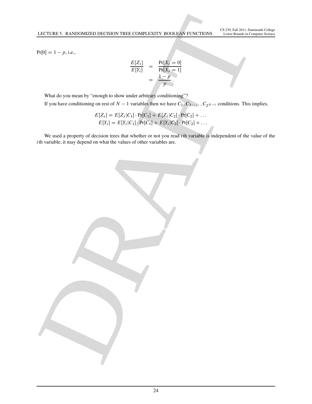$Pr[0] = 1 - p$ , i.e.,

$$
\frac{E[Z_i]}{E[Y_i]} = \frac{\Pr[X_i = 0]}{\Pr[X_i = 1]} = \frac{1 - p}{p}.
$$

What do you mean by "enough to show under arbitrary conditioning"? If you have conditioning on rest of  $N-1$  variables then we have  $C_1, C_2, \ldots, C_{2^{N-1}}$  conditions. This implies,

$$
E[Z_i] = E[Z_i|C_1] \cdot Pr[C_1] + E[Z_i|C_2] \cdot Pr[C_2] + \dots
$$
  
\n
$$
E[Y_i] = E[Y_i|C_1] \cdot Pr[C_1] + E[Y_i|C_2] \cdot Pr[C_2] + \dots
$$

LECTURES. RANDOMIZED DECISION TREE COMPLEXITY ROOTLEVE TRUSS. <sup>1</sup> LATER 19 DET DET UNITS A CHIEF COMPLETE COMPLETE CONTRACT (COMPLETER)<br>
TRIPS = 1 PRESS = 1<br>
USE du you have conditioning on rea of N = 1 variable else on h We used a property of decision trees that whether or not you read  $i$ th variable is independent of the value of the ith variable; it may depend on what the values of other variables are.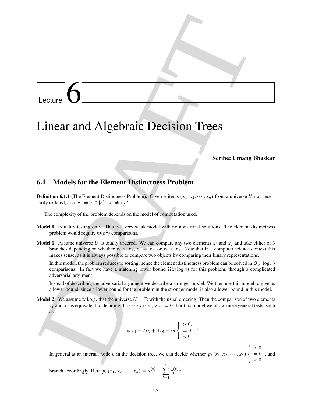Lecture  $\overline{6}$ 

# Linear and Algebraic Decision Trees

## Scribe: Umang Bhaskar

## 6.1 Models for the Element Distinctness Problem

**Definition 6.1.1** (The Element Distinctness Problem). Given n items  $(x_1, x_2, \dots, x_n)$  from a universe U not necessarily ordered, does  $\exists i \neq j \in [n] : x_i \neq x_j$ ?

The complexity of the problem depends on the model of computation used.

- Model 0. Equality testing only. This is a very weak model with no non-trivial solutions. The element distinctness problem would require  $\Theta(n^2)$  comparisons.
- **Model 1.** Assume universe U is totally ordered. We can compare any two elements  $x_i$  and  $x_j$  and take either of 3 branches depending on whether  $x_i > x_j$ ,  $x_i = x_j$ , or  $x_i > x_j$ . Note that in a computer science context this makes sense, as it is always possible to compare two objects by comparing their binary representations.

In this model, the problem reduces to sorting, hence the element distinctness problem can be solved in  $O(n \log n)$ comparisons. In fact we have a matching lower bound  $\Omega(n \log n)$  for this problem, through a complicated adversarial argument.

Instead of describing the adversarial argument we describe a stronger model. We then use this model to give us a lower bound, since a lower bound for the problem in the stronger model is also a lower bound in this model.

**Model 2.** We assume w.l.o.g. that the universe  $U = \mathbb{R}$  with the usual ordering. Then the comparison of two elements  $x_i$  and  $x_j$  is equivalent to deciding if  $x_i - x_j$  is  $\lt, \gt$  or  $= 0$ . For this model we allow more general tests, such as

is 
$$
x_1 - 2x_3 + 4x_5 - x_7
$$
 
$$
\begin{cases} > 0, \\ > 0, \\ < 0 \end{cases}
$$

Locture **C**<br>
Linear and Algebraic Decision Trees<br>
Seribe: Umung Bhaskar<br>
6.1 Models for the Element Distinctness Problem<br>
Seribe: Umung Bhaskar<br>
6.1 Models for the Element Distinctness Problem<br>
Using the state of the comp In general at an internal node v in the decision tree, we can decide whether  $p_v(x_1, x_2, \dots, x_n)$ 8  $\mathsf{J}$  $\mathbf{I}$  $> 0$  $= 0$  $< 0$ , and

branch accordingly. Here 
$$
p_v(x_1, x_2, \dots, x_n) = a_0^{(v)} + \sum_{i=1}^n a_i^{(v)} x_i
$$
.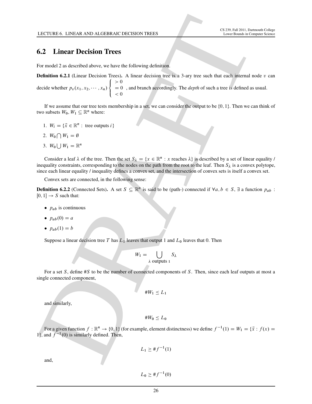## 6.2 Linear Decision Trees

For model 2 as described above, we have the following definition.

LCCUSE 6. LNEAR AND ALGEBAND OCCESORY HERES<br>
THE main of the state of the control of the state of the control of the state of the state of the state of the state of the state of the state of the state of the state of the **Definition 6.2.1** (Linear Decision Trees). A linear decision tree is a 3-ary tree such that each internal node  $v$  can decide whether  $p_v(x_1, x_2, \dots, x_n)$ 8  $\mathsf{I}$  $\mathbf{I}$  $> 0$  $= 0$  $< 0$ , and branch accordingly. The *depth* of such a tree is defined as usual.

If we assume that our tree tests membership in a set, we can consider the output to be  $\{0, 1\}$ . Then we can think of two subsets  $W_0, W_1 \subseteq \mathbb{R}^n$  where:

- 1.  $W_i = \{\vec{x} \in \mathbb{R}^n : \text{tree outputs } i\}$
- 2.  $W_0 \bigcap W_1 = \emptyset$
- 3.  $W_0 \bigcup W_1 = \mathbb{R}^n$

Consider a leaf  $\lambda$  of the tree. Then the set  $S_\lambda = \{x \in \mathbb{R}^n : x \text{ reaches } \lambda\}$  is described by a set of linear equality / inequality constraints, corresponding to the nodes on the path from the root to the leaf. Then  $S_\lambda$  is a convex polytope, since each linear equality / inequality defines a convex set, and the intersection of convex sets is itself a convex set.

Convex sets are connected, in the following sense:

**Definition 6.2.2** (Connected Sets). A set  $S \subseteq \mathbb{R}^n$  is said to be (path-) connected if  $\forall a, b \in S$ ,  $\exists$  a function  $p_{ab}$ :  $[0, 1] \rightarrow S$  such that:

- $\bullet$   $p_{ab}$  is continuous
- $p_{ab}(0) = a$
- $p_{ab}(1) = b$

Suppose a linear decision tree T has  $L_1$  leaves that output 1 and  $L_0$  leaves that 0. Then

$$
W_1 = \bigcup_{\lambda \text{ outputs } 1} S_{\lambda}
$$

For a set  $S$ , define  $\#S$  to be the number of connected components of  $S$ . Then, since each leaf outputs at most a single connected component,

$$
\#W_1 \leq L_1
$$

and similarly,

$$
\#W_0\leq L_0
$$

For a given function  $f : \mathbb{R}^n \to \{0, 1\}$  (for example, element distinctness) we define  $f^{-1}(1) = W_1 = \{\vec{x} : f(x) =$ 1}, and  $f^{-1}(0)$  is similarly defined. Then,

$$
L_1 \geq \# f^{-1}(1)
$$

and,

 $L_0 \geq #f^{-1}(0)$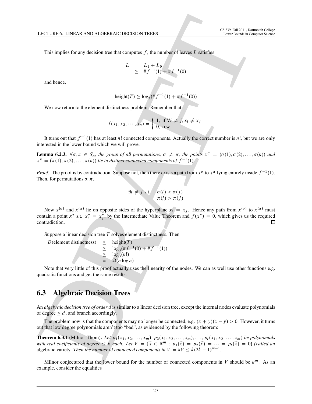This implies for any decision tree that computes f, the number of leaves L satisfies

$$
L = L_1 + L_0
$$
  
\n
$$
\geq #f^{-1}(1) + #f^{-1}(0)
$$

and hence,

$$
height(T) \ge log_3(\# f^{-1}(1) + \# f^{-1}(0))
$$

We now return to the element distinctness problem. Remember that

$$
f(x_1, x_2, \cdots, x_n) = \begin{cases} 1, & \text{if } \forall i \neq j, x_i \neq x_j \\ 0, & \text{o.w.} \end{cases}
$$

It turns out that  $f^{-1}(1)$  has at least n! connected components. Actually the correct number is n!, but we are only interested in the lower bound which we will prove.

**Lemma 6.2.3.**  $\forall \sigma, \pi \in S_n$ , the group of all permutations,  $\sigma \neq \pi$ , the points  $x^{\sigma} = (\sigma(1), \sigma(2), \ldots, \sigma(n))$  and  $x^{\pi} = (\pi(1), \pi(2), \ldots, \pi(n))$  lie in distinct connected components of  $f^{-1}(1)$ .

*Proof.* The proof is by contradiction. Suppose not, then there exists a path from  $x^{\sigma}$  to  $x^{\pi}$  lying entirely inside  $f^{-1}(1)$ . Then, for permutations  $\sigma$ ,  $\pi$ ,

$$
\exists i \neq j \text{ s.t. } \sigma(i) < \sigma(j) \n\pi(i) > \pi(j)
$$

LECTURE 6. LINEAR AND ALGEBAND OLCESION HERES<br>
This implies for any decision resc that computes f, the number of features is still<br>the second between  $f = \frac{1}{2} + \frac{1}{2} \frac{q}{q}$  and  $\frac{q}{q} = \frac{1}{2} + \frac{1}{2} \frac{q}{q}$ <br>
We are Now  $x^{(\sigma)}$  and  $x^{(\pi)}$  lie on opposite sides of the hyperplane  $x_i = x_j$ . Hence any path from  $x^{(\sigma)}$  to  $x^{(\pi)}$  must contain a point  $x^*$  s.t.  $x_i^* = x_j^*$ , by the Intermediate Value Theorem and  $f(x^*) = 0$ , which gives us the required contradiction.

Suppose a linear decision tree  $T$  solves element distinctness. Then

D(element distinctness)  $\geq \text{height}(T)$ <br>  $\geq \text{log}_3(\# f - \geq \text{log}_3(n!)$  $\geq \log_3(\# f^{-1}(0) + \# f^{-1}(1))$  $\geq \log_3(n!)$  $\Omega(n \log n)$ 

Note that very little of this proof actually uses the linearity of the nodes. We can as well use other functions e.g. quadratic functions and get the same results.

## 6.3 Algebraic Decision Trees

An *algebraic decision tree of order d* is similar to a linear decision tree, except the internal nodes evaluate polynomials of degree  $\leq d$ , and branch accordingly.

The problem now is that the components may no longer be connected, e.g.  $(x + y)(x - y) > 0$ . However, it turns out that low degree polynomials aren't too "bad", as evidenced by the following theorem:

**Theorem 6.3.1** (Milnor-Thom). Let  $p_1(x_1, x_2, \ldots, x_m)$ ,  $p_2(x_1, x_2, \ldots, x_m)$ ,  $\ldots$ ,  $p_t(x_1, x_2, \ldots, x_m)$  be polynomials with real coefficients of degree  $\leq k$  each. Let  $V = \{\vec{x} \in \mathbb{R}^m : p_1(\vec{x}) = p_2(\vec{x}) = \cdots = p_t(\vec{x}) = 0\}$  (called an algebraic variety. Then the number of connected components in  $V = #V \leq k(2k - 1)^{m-1}$ .

Milnor conjectured that the lower bound for the number of connected components in  $V$  should be  $k^m$ . As an example, consider the equalities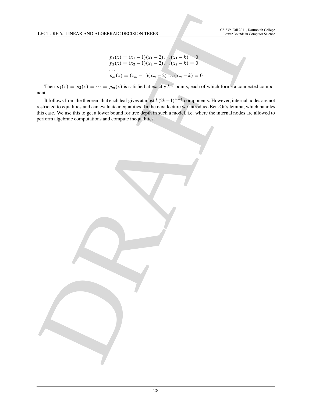$$
p_1(x) = (x_1 - 1)(x_1 - 2)...(x_1 - k) = 0
$$
  
\n
$$
p_2(x) = (x_2 - 1)(x_2 - 2)...(x_2 - k) = 0
$$
  
\n...  
\n
$$
p_m(x) = (x_m - 1)(x_m - 2)...(x_m - k) = 0
$$

Then  $p_1(x) = p_2(x) = \cdots = p_m(x)$  is satisfied at exactly  $k^m$  points, each of which forms a connected component.

It follows from the theorem that each leaf gives at most  $k(2k-1)^{m-1}$  components. However, internal nodes are not restricted to equalities and can evaluate inequalities. In the next lecture we introduce Ben-Or's lemma, which handles this case. We use this to get a lower bound for tree depth in such a model, i.e. where the internal nodes are allowed to perform algebraic computations and compute inequalities.

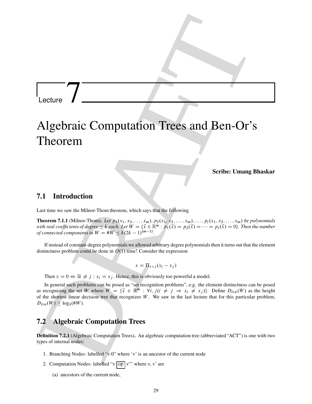## Lecture

# Lecture **T**<br>
Algebraic Computation Trees and Ben-Or's<br>
Theorem <br>
Theorem <br>
Theorem and Market United Ben-Oriental<br>
Series United Basebar<br>
21. Introduction<br>
Newton  $\frac{d\phi}{dx}$  is the line Thus Let  $\phi$  (can be seen the lin Algebraic Computation Trees and Ben-Or's Theorem

Scribe: Umang Bhaskar

## 7.1 Introduction

Last time we saw the Milnor-Thom theorem, which says that the following

**Theorem 7.1.1** (Milnor-Thom). Let  $p_1(x_1, x_2, \ldots, x_m)$ ,  $p_2(x_1, x_2, \ldots, x_m)$ ,  $\ldots$ ,  $p_t(x_1, x_2, \ldots, x_m)$  be polynomials with real coefficients of degree  $\leq k$  each. Let  $W = \{\vec{x} \in \mathbb{R}^m : p_1(\vec{x}) = p_2(\vec{x}) = \cdots = p_t(\vec{x}) = 0\}$ . Then the number *of connected components in*  $W = #W \leq k(2k - 1)^{(m-1)}$ .

If instead of constant-degree polynomials we allowed arbitrary degree polynomials then it turns out that the element distinctness problem could be done in  $O(1)$  time! Consider the expression

$$
x = \Pi_{i < j} (x_i - x_j)
$$

Then  $x = 0 \Leftrightarrow \exists i \neq j : x_i = x_j$ . Hence, this is obviously too powerful a model.

In general such problems can be posed as "set recognition problems", e.g. the element distinctness can be posed as recognising the set W where  $W = \{\vec{x} \in \mathbb{R}^m : \forall i, j (i \neq j \Rightarrow x_i \neq x_j)\}\.$  Define  $D_{lin}(W)$  as the height of the shortest linear decision tree that recognizes  $W$ . We saw in the last lecture that for this particular problem,  $D_{lin}(W) \ge \log_3(\# W).$ 

## 7.2 Algebraic Computation Trees

Definition 7.2.1 (Algebraic Computation Trees). An algebraic computation tree (abbreviated "ACT") is one with two types of internal nodes:

- 1. Branching Nodes: labelled "v:0" where 'v' is an ancestor of the current node
- 2. Computation Nodes: labelled "v  $op |v"$ " where v, v' are
	- (a) ancestors of the current node,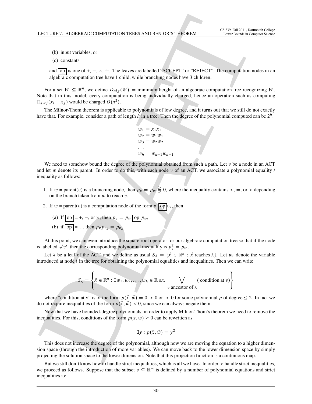(b) input variables, or

(c) constants

and  $op$  is one of  $+, -, \times, \div$ . The leaves are labelled "ACCEPT" or "REJECT". The computation nodes in an algebraic computation tree have 1 child, while branching nodes have 3 children.

For a set  $W \subseteq \mathbb{R}^n$ , we define  $D_{alg}(W) =$  minimum height of an algebraic computation tree recognizing W. Note that in this model, every computation is being individually charged, hence an operation such as computing  $\Pi_{i < j}(x_i - x_j)$  would be charged  $O(n^2)$ .

The Milnor-Thom theorem is applicable to polynomials of low degree, and it turns out that we still do not exactly have that. For example, consider a path of length h in a tree. Then the degree of the polynomial computed can be  $2^h$ .

```
w_1 = x_1x_1w_2 = w_1w_1w_3 = w_2w_2: : :
w_h = w_{h-1}w_{h-1}
```
LECTURE F. ALGEBRANC COMPUNIES AND BEN OR 3 HEOREM (SAMPLES) TRANSPORT (SURFACE) THE SURFACE CONTINUOS CONTINUOS CONTINUOS CONTINUOS CONTINUOS CONTINUOS CONTINUOS CONTINUOS CONTINUOS CONTINUOS CONTINUOS CONTINUOS CONTINUO We need to somehow bound the degree of the polynomial obtained from such a path. Let  $v$  be a node in an ACT and let w denote its parent. In order to do this, with each node  $v$  of an ACT, we associate a polynomial equality  $\ell$ inequality as follows:

- 1. If  $w =$  parent(v) is a branching node, then  $p_v = p_w \geq 0$ , where the inequality contains <, =, or > depending on the branch taken from  $w$  to reach  $v$ .
- 2. If  $w = \text{parent}(v)$  is a computation node of the form  $v_1$  op  $v_2$ , then
	- (a) If  $op = +, -,$  or  $\times$ , then  $p_v = p_{v_1}op p_{v_2}$
	- (b) if  $op = \div$ , then  $p_v p_{v_2} = p_{v_2}$ .

At this point, we can even introduce the square root operator for our algebraic computation tree so that if the node is labelled  $\sqrt{v'}$ , then the corresponding polynomial inequality is  $p_v^2 = p_{v'}$ .

Let  $\lambda$  be a leaf of the ACT, and we define as usual  $S_{\lambda} = \{ \vec{x} \in \mathbb{R}^n : \vec{x} \text{ reaches } \lambda \}.$  Let  $w_i$  denote the variable introduced at node  $i$  in the tree for obtaining the polynomial equalities and inequalities. Then we can write

$$
S_{\lambda} = \left\{ \vec{x} \in \mathbb{R}^n : \exists w_1, w_2, \dots, w_h \in \mathbb{R} \text{ s.t. } \bigvee_{v \text{ ancestor of } \lambda} (\text{ condition at } v) \right\}
$$

where "condition at v" is of the form  $p(\vec{x}, \vec{w}) = 0$ , > 0 or < 0 for some polynomial p of degree  $\leq$  2. In fact we do not require inequalities of the form  $p(\vec{x}, \vec{w}) < 0$ , since we can always negate them.

Now that we have bounded-degree polynomials, in order to apply Milnor-Thom's theorem we need to remove the inequalities. For this, conditions of the form  $p(\vec{x}, \vec{w}) > 0$  can be rewritten as

$$
\exists y : p(\vec{x}, \vec{w}) = y^2
$$

This does not increase the degree of the polynomial, although now we are moving the equation to a higher dimension space (through the introduction of more variables). We can move back to the lower dimension space by simply projecting the solution space to the lower dimension. Note that this projection function is a continuous map.

But we still don't know how to handle strict inequalities, which is all we have. In order to handle strict inequalities, we proceed as follows. Suppose that the subset  $v \subseteq \mathbb{R}^m$  is defined by a number of polynomial equations and strict inequalities i.e.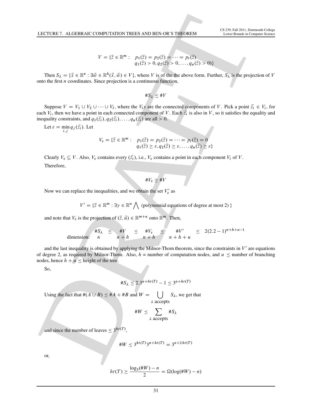$$
V = \{\vec{z} \in \mathbb{R}^m : \quad p_1(\vec{z}) = p_2(\vec{z}) = \dots = p_t(\vec{z})
$$
  

$$
q_1(\vec{z}) > 0, q_2(\vec{z}) > 0, \dots, q_u(\vec{z}) > 0\}
$$

Then  $S_{\lambda} = \{\vec{x} \in \mathbb{R}^n : \exists \vec{w} \in \mathbb{R}^h(\vec{x}, \vec{w}) \in V\}$ , where V is of the the above form. Further,  $S_{\lambda}$  is the projection of V onto the first  $n$  coordinates. Since projection is a continuous function,

$$
\#S_{\lambda} \leq \#V
$$

Suppose  $V = V_1 \cup V_2 \cup \cdots \cup V_l$ , where the  $V_i s$  are the connected components of V. Pick a point  $\vec{z}_i \in V_i$ , for each  $V_i$ , then we have a point in each connected component of V. Each  $\vec{z}_i$  is also in V, so it satisfies the equality and inequality constraints, and  $q_1(\vec{z}_i), q_2(\vec{z}_i), \ldots, q_u(\vec{z}_i)$  are all  $> 0$ .

Let 
$$
\varepsilon = \min_{i,j} q_j(\vec{z_i})
$$
. Let

$$
V_{\varepsilon} = \{ \vec{z} \in \mathbb{R}^m : \quad p_1(\vec{z}) = p_2(\vec{z}) = \dots = p_t(\vec{z}) = 0
$$

$$
q_1(\vec{z}) \ge \varepsilon, q_2(\vec{z}) \ge \varepsilon, \dots, q_u(\vec{z}) \ge \varepsilon \}
$$

Clearly  $V_{\varepsilon} \subseteq V$ . Also,  $V_{\varepsilon}$  contains every  $(\vec{z}_i)$ , i.e.,  $V_{\varepsilon}$  contains a point in each component  $V_i$  of V. Therefore,

 $\#V_{\varepsilon}\geq\#V$ 

Now we can replace the inequalities, and we obtain the set  $V'_\varepsilon$  as

 $V' = \{\vec{z} \in \mathbb{R}^m : \exists y \in \mathbb{R}^u \bigwedge \text{ (polynomial equations of degree at most 2)}\}$ 

and note that  $V_{\varepsilon}$  is the projection of  $(\vec{z}, \vec{u}) \in \mathbb{R}^{m+u}$  onto  $\mathbb{R}^m$ . Then,

dimension: 
$$
\frac{\#S_{\lambda}}{n} \leq \frac{\#V}{n+h} \leq \frac{\#V_{\varepsilon}}{n+h} \leq \frac{\#V'}{n+h+u} \leq 2(2.2-1)^{n+h+u-1}
$$

LECTURE F. ALGEBRANC COMPUNITION TREES AND BEN ORE STREAMED.<br>  $V = \{2, 2^{n+1}, 2n\}$ <br>
Then  $S_n = \{3^n, 2^n\}$ ,  $S_n = \{3^n, 2^n\}$ ,  $S_n = \{3^n, 2^n\}$ ,  $S_n = \{3^n, 2^n\}$ <br>
Then  $S_n = \{3^n, 2^n\}$ ,  $S_n = \{3^n, 2^n\}$ ,  $S_n = \{3^n, 2^n\}$ ,  $S_n = \{3^n$ and the last inequality is obtained by applying the Milnor-Thom theorem, since the constraints in  $V'$  are equations of degree 2, as required by Milnor-Thom. Also,  $h =$  number of computation nodes, and  $u \le$  number of branching nodes, hence  $h + u \le$  height of the tree.

So,

$$
\#S_{\lambda} \le 2.3^{n+ht(T)} - 1 \le 3^{n+ht(T)}
$$

Using the fact that  $#(A \cup B) \leq #A + #B$  and  $W =$  $\left( \begin{array}{cc} \end{array} \right)$  S<sub> $\lambda$ </sub>, we get that  $\lambda$  accepts

$$
\#W \leq \sum_{\lambda \text{ accepts}} \#S_{\lambda}
$$

and since the number of leaves  $\leq 3^{ht(T)}$ ,

$$
\#W \le 3^{ht(T)}3^{n+ht(T)} = 3^{n+2ht(T)}
$$

or,

$$
ht(T) \ge \frac{\log_3(\#W) - n}{2} = \Omega(\log(\#W) - n)
$$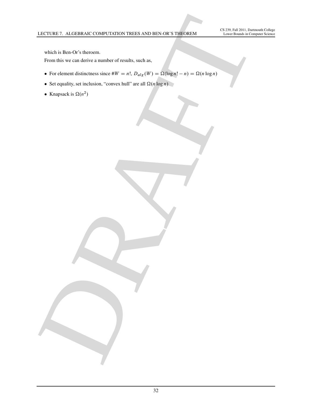which is Ben-Or's theroem.

From this we can derive a number of results, such as,

- LECTURE F. ALGERINANC COMPLETIFION TREES AND BEN ONE 3 HOMES.<br>
The third is the C<sup>hri</sup>chmann compared which start and a<br> **Principle is the Christmann compared which start and christmann compared which start and christmann** For element distinctness since  $W = n!$ ,  $D_{alg}(W) = \Omega(\log n! - n) = \Omega(n \log n)$ 
	- Set equality, set inclusion, "convex hull" are all  $\Omega(n \log n)$
	- Knapsack is  $\Omega(n^2)$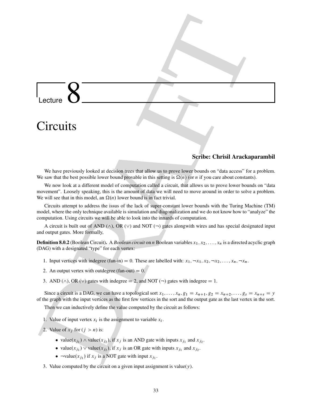**Lecture 88**<br>
Circuits Section (1970) and the signal of the signal of the signal of the signal of the signal of the signal of the signal of the signal of the signal of the signal of the signal of the signal of the signal Lecture **Circuits** 

## Scribe: Chrisil Arackaparambil

We have previously looked at decision trees that allow us to prove lower bounds on "data access" for a problem. We saw that the best possible lower bound provable in this setting is  $\Omega(n)$  (or n if you care about constants).

We now look at a different model of computation called a circuit, that allows us to prove lower bounds on "data movement". Loosely speaking, this is the amount of data we will need to move around in order to solve a problem. We will see that in this model, an  $\Omega(n)$  lower bound is in fact trivial.

Circuits attempt to address the issus of the lack of super-constant lower bounds with the Turing Machine (TM) model, where the only technique available is simulation and diagonalization and we do not know how to "analyze" the computation. Using circuits we will be able to look into the innards of computation.

A circuit is built out of AND ( $\wedge$ ), OR ( $\nu$ ) and NOT ( $\neg$ ) gates alongwith wires and has special designated input and output gates. More formally,

**Definition 8.0.2** (Boolean Circuit). A *Boolean circuit* on n Boolean variables  $x_1, x_2, \ldots, x_n$  is a directed acyclic graph (DAG) with a designated "type" for each vertex:

- 1. Input vertices with indegree (fan-in) = 0. These are labelled with:  $x_1, \neg x_1, x_2, \neg x_2, \dots, x_n, \neg x_n$ .
- 2. An output vertex with outdegree (fan-out)  $= 0$ .
- 3. AND ( $\land$ ), OR ( $\lor$ ) gates with indegree = 2, and NOT ( $\neg$ ) gates with indegree = 1.

Since a circuit is a DAG, we can have a topological sort  $x_1, \ldots, x_n$ ,  $g_1 = x_{n+1}, g_2 = x_{n+2}, \ldots, g_s = x_{n+s} = y$ of the graph with the input vertices as the first few vertices in the sort and the output gate as the last vertex in the sort.

Then we can inductively define the value computed by the circuit as follows:

- 1. Value of input vertex  $x_i$  is the assignment to variable  $x_i$ .
- 2. Value of  $x_i$  for  $(j > n)$  is:
	- value $(x_{j_1}) \wedge$  value $(x_{j_2})$ , if  $x_j$  is an AND gate with inputs  $x_{j_1}$  and  $x_{j_2}$ .
	- value $(x_{j_1}) \vee$  value $(x_{j_2})$ , if  $x_j$  is an OR gate with inputs  $x_{j_1}$  and  $x_{j_2}$ .
	- $\neg value(x_{j_1})$  if  $x_j$  is a NOT gate with input  $x_{j_1}$ .
- 3. Value computed by the circuit on a given input assignment is value(y).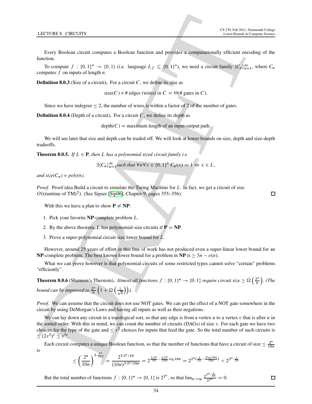Every Boolean circuit computes a Boolean function and provides a computationally efficient encoding of the function.

To compute  $f: \{0,1\}^* \to \{0,1\}$  (i.e. language  $L_f \subseteq \{0,1\}^*$ ), we need a circuit family  $\langle C_n \rangle_{n=1}^{\infty}$ , where  $C_n$ computes  $f$  on inputs of length  $n$ .

**Definition 8.0.3** (Size of a circuit). For a circuit  $C$ , we define its size as

size(C) = # edges (wires) in  $C = \Theta$ (# gates in C).

Since we have indegree  $\leq 2$ , the number of wires is within a factor of 2 of the number of gates.

**Definition 8.0.4** (Depth of a circuit). For a circuit  $C$ , we define its depth as

 $depth(C) =$  maximum length of an input-output path.

We will see later that size and depth can be traded off. We will look at lower bounds on size, depth and size-depth tradeoffs.

**Theorem 8.0.5.** *If*  $L \in \mathbf{P}$ *, then*  $L$  *has a polynomial sized circuit family i.e.* 

$$
\exists \langle C_n \rangle_{n=1}^{\infty} such that \forall n \forall x \in \{0,1\}^n C_n(x) = 1 \Leftrightarrow x \in L,
$$

*and size*( $C_n$ ) = poly(n).

*Proof.* Proof idea Build a circuit to simulate the Turing Machine for L. In fact, we get a circuit of size  $O(($ runtime of TM $)^2$ ). (See Sipser [Sip06], Chapter 9, pages 355–356).

With this we have a plan to show  $P \neq NP$ :

- 1. Pick your favorite NP-complete problem L.
- 2. By the above theorem, L has polynomial-size circuits if  $P = NP$ .
- 3. Prove a super-polynomial circuit size lower bound for L.

However, around 25 years of effort in this line of work has not produced even a super-linear lower bound for an **NP**-complete problem. The best known lower bound for a problem in **NP** is  $\geq 5n - o(n)$ .

What we can prove however is that polynomial circuits of some restricted types cannot solve "certain" problems "efficiently".

**Theorem 8.0.6** (Shannon's Theorem). *Almost all functions*  $f : \{0, 1\}^n \to \{0, 1\}$  *require circuit size*  $\geq \Omega$   $\left(\frac{2^n}{n}\right)$  $\left(\frac{2^n}{n}\right)$ . (The *bound can be improved to*  $\frac{2^n}{n}$  $\frac{2^n}{n}\left(1+\Omega\left(\frac{1}{\sqrt{n}}\right)\right)$  $\binom{1}{n}$ ).

*Proof.* We can assume that the circuit does not use NOT gates. We can get the effect of a NOT gate somewhere in the circuit by using DeMorgan's Laws and having all inputs as well as their negations.

**LECTURE B. CRICITITS**<br>
DR[A](#page-46-7)FT IN A CONTINUES CONTINUES CONTINUES CONTINUES CONTINUES CONTINUES CONTINUES CONTINUES CONTINUES CONTINUES CONTINUES CONTINUES CONTINUES CONTINUES CONTINUES CONTINUES CONTINUES CONTINUES CONTIN We can lay down any circuit in a topological sort, so that any edge is from a vertex u to a vertex v that is after u in the sorted order. With this in mind, we can count the number of circuits (DAGs) of size s. For each gate we have two choices for the type of the gate and  $\leq s^2$  choices for inputs that feed the gate. So the total number of such circuits is  $\leq (2s^2)^s \leq s^{3s}.$ 

Each circuit computes a unique Boolean function, so that the number of functions that have a circuit of size  $\leq \frac{2^n}{10^n}$ 10n is n

$$
\leq \left(\frac{2^n}{10n}\right)^{3\cdot\frac{2^n}{10n}} = \frac{2^{3\cdot 2^n/10}}{(10n)^{3\cdot 2^n/10n}} = 2^{\frac{3\cdot 2^n}{10} - \frac{3\cdot 2^n}{10n}\log 10n} = 2^{2^n(\frac{3}{10} - \frac{3\log 10n}{10n})} < 2^{2^n\cdot\frac{3}{10}}
$$

But the total number of functions  $f: \{0, 1\}^n \to \{0, 1\}$  is  $2^{2^n}$ , so that  $\lim_{n\to\infty} \frac{2^{2^n} \cdot \frac{3}{10}}{2^{2^n}} = 0$ .  $\Box$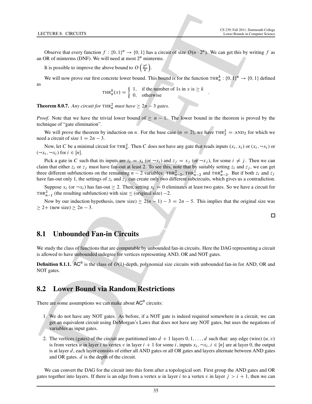Observe that every function  $f: \{0, 1\}^n \to \{0, 1\}$  has a circuit of size  $O(n \cdot 2^n)$ . We can get this by writing f as an OR of minterms (DNF). We will need at most  $2<sup>n</sup>$  minterms.

It is possible to improve the above bound to  $O\left(\frac{2^n}{n}\right)$  $\frac{2^n}{n}$ ).

We will now prove our first concrete lower bound. This bound is for the function THR $_n^k$ :  $\{0, 1\}^n \to \{0, 1\}$  defined as

THR<sup>k</sup><sub>n</sub> $(x) = \begin{cases} 1, & \text{if the number of 1s in } x \text{ is } \geq k \\ 0, & \text{otherwise} \end{cases}$ .

**Theorem 8.0.7.** Any circuit for  $\text{THR}_n^2$  must have  $\geq 2n - 3$  gates.

*Proof.* Note that we have the trivial lower bound of  $\geq n - 1$ . The lower bound in the theorem is proved by the technique of "gate elimination".

We will prove the theorem by induction on *n*. For the base case ( $n = 2$ ), we have THR<sub>2</sub> = AND<sub>2</sub> for which we need a circuit of size  $1 = 2n - 3$ .

Now, let C be a minimal circuit for THR<sub>n</sub><sup>2</sup>. Then C does not have any gate that reads inputs  $(x_i, x_i)$  or  $(x_i, \neg x_i)$  or  $(\neg x_i, \neg x_i)$  for  $i \in [n]$ .

**LECTURE B. CRICITITS**<br>
CONTRACTORES<br>
CONTRACTORES<br>
CONTRACTORES CONTRACTORES (CO.)<sup>27</sup> - 10.11 has a circuit of size (2) and a neutrino a summarization<br>
II is possible to happen the store beneficted of  $\binom{2}{k}$ <br>
Reserv Pick a gate in C such that its inputs are  $z_i = x_i$  (or  $-x_i$ ) and  $z_i = x_j$  (or  $-x_i$ ), for some  $i \neq j$ . Then we can claim that either  $z_i$  or  $z_j$  must have fan-out at least 2. To see this, note that by suitably setting  $z_i$  and  $z_j$ , we can get three different subfunctions on the remaining  $n-2$  variables:  $\text{THR}_{n-2}^2$ ,  $\text{THR}_{n-2}^1$  and  $\text{THR}_{n-2}^0$ . But if both  $z_i$  and  $z_j$ have fan-out only 1, the settings of  $z_i$  and  $z_j$  can create only two different subcircuits, which gives us a contradiction.

Suppose  $x_i$  (or  $\neg x_i$ ) has fan-out  $\geq 2$ . Then, setting  $x_i = 0$  eliminates at least two gates. So we have a circuit for THR<sup>2</sup><sub>n-1</sub> (the resulting subfunction) with size  $\le$  (original size) -2.

Now by our induction hypothesis, (new size)  $\geq 2(n - 1) - 3 = 2n - 5$ . This implies that the original size was  $\geq$  2+ (new size)  $\geq$  2n – 3.

## 8.1 Unbounded Fan-in Circuits

We study the class of functions that are computable by unbounded fan-in circuits. Here the DAG representing a circuit is allowed to have unbounded indegree for vertices representing AND, OR and NOT gates.

**Definition 8.1.1.** AC<sup>0</sup> is the class of  $O(1)$ -depth, polynomial size circuits with unbounded fan-in for AND, OR and NOT gates.

## 8.2 Lower Bound via Random Restrictions

There are some assumptions we can make about  $AC^0$  circuits:

- 1. We do not have any NOT gates. As before, if a NOT gate is indeed required somewhere in a circuit, we can get an equivalent circuit using DeMorgan's Laws that does not have any NOT gates, but uses the negations of variables as input gates.
- 2. The vertices (gates) of the circuit are partitioned into  $d + 1$  layers  $0, 1, \ldots, d$  such that: any edge (wire)  $(u, v)$ is from vertex u in layer i to vertex v in layer  $i + 1$  for some i, inputs  $x_i, \neg x_i, i \in [n]$  are at layer 0, the output is at layer  $d$ , each layer consists of either all AND gates or all OR gates and layers alternate between AND gates and OR gates. d is the depth of the circuit.

We can convert the DAG for the circuit into this form after a topological sort. First group the AND gates and OR gates together into layers. If there is an edge from a vertex u in layer i to a vertex v in layer  $j > i + 1$ , then we can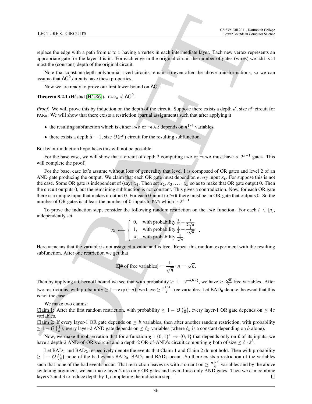replace the edge with a path from  $u$  to  $v$  having a vertex in each intermediate layer. Each new vertex represents an appropriate gate for the layer it is in. For each edge in the original circuit the number of gates (wires) we add is at most the (constant) depth of the original circuit.

Note that constant-depth polynomial-sized circuits remain so even after the above transformations, so we can assume that  $AC^0$  circuits have these properties.

Now we are ready to prove our first lower bound on  $AC^0$ .

**Theorem 8.2.1** (Håstad [Hås86]).  $PAR_n \notin AC^0$ .

*Proof.* We will prove this by induction on the depth of the circuit. Suppose there exists a depth  $d$ , size  $n^c$  circuit for  $PAR_n$ . We will show that there exists a restriction (partial assignment) such that after applying it

- the resulting subfunction which is either PAR or  $\neg$ PAR depends on  $n^{1/4}$  variables.
- there exists a depth  $d-1$ , size  $O(n^c)$  circuit for the resulting subfunction.

But by our induction hypothesis this will not be possible.

For the base case, we will show that a circuit of depth 2 computing PAR or  $\neg$ PAR must have  $> 2^{n-1}$  gates. This will complete the proof.

**LECTURE B. CONCUTES**<br>
The third particle in a path-from w or Paloring a vertex in each incrementate layer. Then are an appropriate gate of the particle in the symbol particle in the control of the symbol particle in the For the base, case let's assume without loss of generality that level 1 is composed of OR gates and level 2 of an AND gate producing the output. We claim that each OR gate must depend on *every* input  $x_i$ . For suppose this is not the case. Some OR gate is independent of (say)  $x_1$ . Then set  $x_2, x_3, \ldots, x_n$  so as to make that OR gate output 0. Then the circuit outputs 0, but the remaining subfunction is not constant. This gives a contradiction. Now, for each OR gate there is a unique input that makes it output 0. For each 0-input to PAR there must be an OR-gate that outputs 0. So the number of OR gates is at least the number of 0-inputs to PAR which is  $2^{n-1}$ 

To prove the induction step, consider the following random restriction on the PAR function. For each  $i \in [n]$ , independently set

$$
x_i \leftarrow \begin{cases} 0, & \text{with probability } \frac{1}{2} - \frac{1}{2\sqrt{n}} \\ 1, & \text{with probability } \frac{1}{2} - \frac{1}{2\sqrt{n}} \\ *, & \text{with probability } \frac{1}{\sqrt{n}} \end{cases}.
$$

Here  $*$  means that the variable is not assigned a value and is free. Repeat this random experiment with the resulting subfunction. After one restriction we get that

$$
\mathbb{E}[\text{# of free variables}] = \frac{1}{\sqrt{n}} \cdot n = \sqrt{n}.
$$

Then by applying a Chernoff bound we see that with probability  $\geq 1 - 2^{-O(n)}$ , we have  $\geq \frac{\sqrt{n}}{2}$  $\frac{\pi}{2}$  free variables. After two restrictions, with probability  $\geq 1 - \exp(-n)$ , we have  $\geq \frac{n^{1/4}}{4}$  $\frac{f}{4}$  free variables. Let BAD<sub>0</sub> denote the event that this is not the case.

We make two claims:

Claim 1: After the first random restriction, with probability  $\geq 1 - O\left(\frac{1}{n}\right)$ , every layer-1 OR gate depends on  $\leq 4c$ variables.

Claim 2: If every layer-1 OR gate depends on  $\leq b$  variables, then after another random restriction, with probability  $\geq 1 - O\left(\frac{1}{n}\right)$ , every layer-2 AND gate depends on  $\leq \ell_b$  variables (where  $\ell_b$  is a constant depending on b alone).

Now, we make the observation that for a function  $g: \{0, 1\}^n \to \{0, 1\}$  that depends only on  $\ell$  of its inputs, we have a depth-2 AND-of-OR's circuit and a depth-2 OR-of-AND's circuit computing g both of size  $\leq \ell \cdot 2^{\ell}$ .

Let BAD<sub>1</sub> and BAD<sub>2</sub> respectively denote the events that Claim 1 and Claim 2 do not hold. Then with probability  $\geq 1 - O\left(\frac{1}{n}\right)$  none of the bad events BAD<sub>0</sub>, BAD<sub>1</sub> and BAD<sub>2</sub> occur. So there exists a restriction of the variables n such that none of the bad events occur. That restriction leaves us with a circuit on  $\geq \frac{n^{1/4}}{4}$  $\frac{1}{4}$  variables and by the above switching argument, we can make layer-2 use only OR gates and layer-1 use only AND gates. Then we can combine layers 2 and 3 to reduce depth by 1, completing the induction step. 口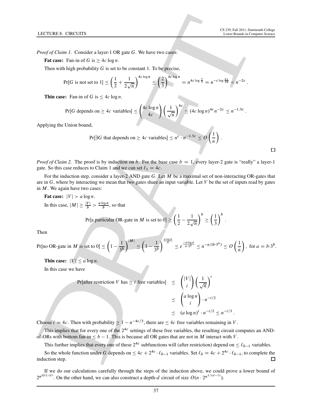:

:

*Proof of Claim 1.* Consider a layer-1 OR gate G. We have two cases:

**Fat case:** Fan-in of G is  $> 4c \log n$ .

Then with high probability  $G$  is set to be constant 1. To be precise,

$$
\Pr[G \text{ is not set to } 1] \le \left(\frac{1}{2} + \frac{1}{2\sqrt{n}}\right)^{4c\log n} \le \left(\frac{2}{3}\right)^{4c\log n} = n^{4c\log\frac{2}{3}} = n^{-c\log\frac{81}{16}} < n^{-2c}
$$

**Thin case:** Fan-in of G is  $\leq 4c \log n$ .

$$
\Pr[G \text{ depends on } \geq 4c \text{ variables}] \leq {4c \log n \choose 4c} \left(\frac{1}{\sqrt{n}}\right)^{4c} \leq (4c \log n)^{4c} n^{-2c} \leq n^{-1.5c}.
$$

Applying the Union bound,

$$
\Pr[\exists G \text{ that depends on } \geq 4c \text{ variables}] \leq n^c \cdot n^{-1.5c} \leq O\left(\frac{1}{n}\right).
$$

*Proof of Claim 2.* The proof is by induction on b. For the base case  $b = 1$ , every layer-2 gate is "really" a layer-1 gate. So this case reduces to Claim 1 and we can set  $\ell_1 = 4c$ .

For the induction step, consider a layer-2 AND gate G. Let M be a maximal set of non-interacting OR-gates that are in  $G$ , where by interacting we mean that two gates share an input variable. Let  $V$  be the set of inputs read by gates in  $M$ . We again have two cases:

Fat case:  $|V| > a \log n$ . In this case,  $|M| \ge \frac{|V|}{b} > \frac{a \log n}{b}$  $\frac{\log n}{b}$ , so that

> Pr[a particular OR-gate in *M* is set to  $0 \le \left(\frac{1}{2}\right)$  $\frac{1}{2}$ 1  $2\sqrt{n}$  $\lambda^b$  $\leq$  $(1)$ 3  $\big)^b$ .

Then

Pr[no OR-gate in M is set to 0] 
$$
\leq \left(1 - \frac{1}{3b}\right)^{|M|} \leq \left(1 - \frac{1}{3b}\right)^{\frac{a \log n}{b}} \leq e^{\frac{-a \log n}{b \cdot 3b}} \leq n^{-a/(b \cdot 3^b)} \leq O\left(\frac{1}{n}\right)
$$
, for  $a = b \cdot 3^b$ .

Thin case:  $|V| \le a \log n$ .

In this case we have

**1.14** C-TUREB. **CIRC** UTRS  
\nProof of Claim 1. Consider a layer-1 OR gate *G*. We have two cases:  
\n**Fate case:** Fun-in of *G* is 
$$
\leq 4c \log n
$$
.  
\nThen with high probability *G* is set to be constant 1. To be precise,  
\n
$$
\Pr[G \text{ is not set to } 1] \leq \left(\frac{1}{2} + \frac{1}{2\sqrt{n}}\right)^{4c \log n} \leq \left(\frac{2}{3}\right)^{4c \log n} = n^{4c \log \frac{2}{3}} = n^{-c \log \frac{4}{10}} \leq n^{-2c}
$$
\n**1.1 1.1 1.1 1.1 1.1 1.1 1.1 1.1 1.1 1.1 1.1 1.1 1.1 1.1 1.1 1.1 1.1 1.1 1.1 1.1 1.1 1.1 1.1 1.1 1.1 1.1 1.1 1.1 1.1 1.1 1.1 1.1 1.1 1.1 1.1 1.1 1.1 1.1 1.1 1.1 1.1 1.1 1.1 1.1 1.1 1.1 1.1 1.1 1.1 1.1 1.1 1.1 1.1 1.1 1.1 1.1 1.1 1.1 1.1 1.1**

Choose  $i = 4c$ . Then with probability  $\geq 1 - n^{-4c/3}$ , there are  $\leq 4c$  free variables remaining in V.

This implies that for every one of the  $2^{4c}$  settings of these free variables, the resulting circuit computes an ANDof-ORs with bottom fan-in  $\leq b - 1$ . This is because all OR gates that are not in M interact with V.

This further implies that every one of these  $2^{4c}$  subfunctions will (after restriction) depend on  $\leq \ell_{b-1}$  variables.

So the whole function under G depends on  $\leq 4c + 2^{4c} \cdot \ell_{b-1}$  variables. Set  $\ell_b = 4c + 2^{4c} \cdot \ell_{b-1}$ , to complete the induction step.

If we do our calculations carefully through the steps of the induction above, we could prove a lower bound of  $2^{n^{\Omega(1/d)}}$ . On the other hand, we can also construct a depth-d circuit of size  $O(n \cdot 2^{n^{1/(d-1)}})$ .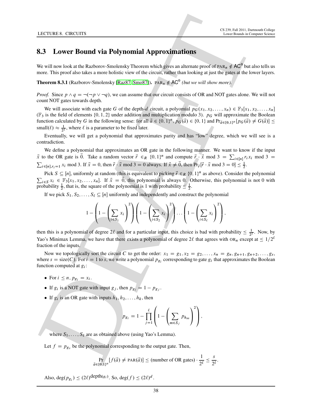## 8.3 Lower Bound via Polynomial Approximations

We will now look at the Razborov-Smolensky Theorem which gives an alternate proof of PAR<sub>n</sub>  $\notin$  AC<sup>0</sup> but also tells us more. This proof also takes a more holistic view of the circuit, rather than looking at just the gates at the lower layers.

**Theorem 8.3.1** (Razborov-Smolensky [Raz87, Smo87]).  $PAR_n \notin AC^0$  (but we will show more).

*Proof.* Since  $p \wedge q = \neg(\neg p \vee \neg q)$ , we can assume that our circuit consists of OR and NOT gates alone. We will not count NOT gates towards depth.

LCCUSE **B.** CROWITS<br> **C. 2018 C.** CROWITS **B.** CONTROVIDED Approximations  $\lim_{x\to a} \frac{\cos(x)}{\cos(x)}$ . Event in the control of the control of the control of the control of the control of the control of the control of the contr We will associate with each gate G of the depth-d circuit, a polyomial  $p_G(x_1, x_2, \ldots, x_n) \in \mathbb{F}_3[x_1, x_2, \ldots, x_n]$ (F<sub>3</sub> is the field of elements {0, 1, 2} under addition and multiplication modulo 3).  $p<sub>G</sub>$  will approximate the Boolean function calculated by G in the following sense: for all  $\vec{a} \in \{0, 1\}^n$ ,  $p_G(\vec{a}) \in \{0, 1\}$  and  $Pr_{\vec{a} \in \{0, 1\}^n} [p_G(\vec{a}) \neq G(\vec{a})] \leq$ small $(\ell) \approx \frac{1}{2^{\ell}}$ , where  $\ell$  is a parameter to be fixed later.

Eventually, we will get a polynomial that approximates parity and has "low" degree, which we will see is a contradiction.

We define a polynomial that approximates an OR gate in the following manner. We want to know if the input  $\vec{x}$  to the OR gate is 0. Take a random vector  $\vec{r} \in R \{0, 1\}^n$  and compute  $\vec{r} \cdot \vec{x} \mod 3 = \sum_{i \in [n]} r_i x_i \mod 3$  $\sum_{i \in [n], r_i = 1} x_i \text{ mod } 3$ . If  $\vec{x} = 0$ , then  $\vec{r} \cdot \vec{x} \text{ mod } 3 = 0$  always. If  $\vec{x} \neq \vec{0}$ , then  $\Pr_{\vec{r}}[\vec{r} \cdot \vec{x} \text{ mod } 3 = 0] \leq \frac{1}{2}$ .

Pick  $S \subseteq [n]$ , uniformly at random (this is equivalent to picking  $\vec{r} \in_R \{0, 1\}^n$  as above). Consider the polynomial  $\sum_{i \in S} x_i \in \mathbb{F}_3[x_1, x_2, \dots, x_n]$ . If  $\vec{x} = \vec{0}$ , this polynomial is always 0. Otherwise, this polynomial is not 0 with probability  $\frac{1}{2}$ , that is, the square of the polynomial is 1 with probability  $\leq \frac{1}{2}$ .

If we pick  $S_1, S_2, \ldots, S_\ell \subseteq [n]$  uniformly and independently and construct the polynomial

$$
1 - \left(1 - \left(\sum_{i \in S_1} x_i\right)^2\right) \left(1 - \left(\sum_{i \in S_2} x_i\right)^2\right) \dots \left(1 - \left(\sum_{i \in S_\ell} x_i\right)^2\right),
$$

then this is a polynomial of degree 2 $\ell$  and for a particular input, this choice is bad with probability  $\leq \frac{1}{2^{\ell}}$ . Now, by Yao's Minimax Lemma, we have that there exists a polynomial of degree  $2\ell$  that agrees with OR<sub>n</sub> except at  $\leq 1/2^{\ell}$ fraction of the inputs.

Now we topologically sort the circuit C to get the order:  $x_1 = g_1, x_2 = g_2, \ldots, x_n = g_n, g_{n+1}, g_{n+2}, \ldots, g_s$ where  $s = \text{size}(C)$ . For  $i = 1$  to s, we write a polynomial  $p_{gi}$  corresponding to gate  $g_i$  that approximates the Boolean function computed at  $g_i$ :

- For  $i \leq n$ ,  $p_{g_i} = x_i$ .
- If  $g_i$  is a NOT gate with input  $g_j$ , then  $p_{g_i} = 1 p_{g_j}$ .
- If  $g_i$  is an OR gate with inputs  $h_1, h_2, \ldots, h_k$ , then

$$
p_{g_i} = 1 - \prod_{j=1}^{\ell} \left( 1 - \left( \sum_{m \in S_j} p_{h_m} \right)^2 \right),
$$

where  $S_1, \ldots, S_\ell$  are as obtained above (using Yao's Lemma).

Let  $f = p_{g_s}$  be the polynomial corresponding to the output gate. Then,

$$
\Pr_{\vec{a}\in\{0,1\}^n}[f(\vec{a}) \neq \text{PAR}(\vec{a})] \leq \text{(number of OR gates)} \cdot \frac{1}{2^{\ell}} \leq \frac{s}{2^{\ell}}.
$$

Also, deg $(p_{gi}) \le (2\ell)^{\text{depth}(g_i)}$ . So, deg $(f) \le (2\ell)^d$ .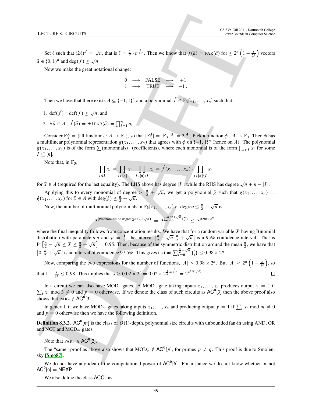Set  $\ell$  such that  $(2\ell)^d = \sqrt{n}$ , that is  $\ell = \frac{1}{2} \cdot n^{\frac{1}{2d}}$ . Then we know that  $f(\vec{a}) = \text{PAR}(\vec{a})$  for  $\geq 2^n \left(1 - \frac{s}{2^{\ell}}\right)$  vectors  $\vec{a} \in \{0, 1\}^n$  and  $\deg(f) \leq \sqrt{n}$ .

Now we make the great notational change:

$$
\begin{array}{ccc}\n0 & \longrightarrow & \text{FALSE} & \longrightarrow & +1 \\
1 & \longrightarrow & \text{TRUE} & \longrightarrow & -1.\n\end{array}
$$

Then we have that there exists  $A \subseteq \{-1, 1\}^n$  and a polynomial  $\hat{f} \in \mathbb{F}_3[x_1, \ldots, x_n]$  such that:

1.  $\det(\hat{f}) = \det(f) \le \sqrt{n}$ , and 2.  $\forall \vec{a} \in A : \hat{f}(\vec{a}) = \pm 1 \text{PAR}(\vec{a}) = \prod_{i=1}^{n} a_i.$ 

Consider  $\mathbb{F}_3^A = \{\text{all functions}: A \to \mathbb{F}_3\},\$  so that  $|\mathbb{F}_3^A| = |\mathbb{F}_3|^{|A|} = 3^{|A|}$ . Pick a function  $\phi: A \to \mathbb{F}_3$ . Then  $\phi$  has a multilinear polynomial representation  $g(x_1, \ldots, x_n)$  that agrees with  $\phi$  on  $\{-1, 1\}^n$  (hence on A). The polynomial  $g(x_1, \ldots, x_n)$  is of the form  $\sum$  (monomials)  $\cdot$  (coefficients), where each monomial is of the form  $\prod_{i \in I} x_i$  for some  $I \subseteq [n]$ .

Note that, in  $\mathbb{F}_3$ ,

$$
\prod_{i \in I} x_i = \prod_{i \in [n]} x_i \cdot \prod_{i \in [n] \setminus I} x_i = \hat{f}(x_1, \dots, x_n) \cdot \prod_{i \in [n] \setminus I} x_i
$$

for  $\vec{x} \in A$  (required for the last equality). The LHS above has degree |I|, while the RHS has degree  $\sqrt{n} + n - |I|$ .

Applying this to every monomial of degree  $> \frac{n}{2} + \sqrt{n}$ , we get a polynomial  $\hat{g}$  such that  $g(x_1,...,x_n)$  $\hat{g}(x_1,...,x_n)$  for  $\vec{x} \in A$  with deg $(\hat{g}) \leq \frac{n}{2} + \sqrt{n}$ .

Now, the number of multinomial polynomials in  $\mathbb{F}_3[x_1,\ldots,x_n]$  of degree  $\leq \frac{n}{2} + \sqrt{n}$  is

3<sup>(#monomials of degree 
$$
\leq n/2 + \sqrt{n}
$$
) =  $3^{\sum_{i=0}^{n/2} + \sqrt{n}} {n \choose i} \leq 3^{0.98 \times 2^n}$</sup> 

;

**LECTURE 8.** CROWITE <br>
Set f used for  $O(f' = \sqrt{n}$ , fort at  $t = \frac{1}{2} \cdot n^{\frac{1}{2}}$ . These we know that  $f(t) = \cos(\sqrt{n})$  for  $t \ge 0$ <sup>3</sup>  $(1 - \frac{1}{2})$  vectors<br>  $\therefore$  Now our matchine presidentic columns  $\alpha = \frac{1}{2} \cdot n^{\frac{1}{2}}$ . Th where the final inequality follows from concentration results. We have that for a random variable  $X$  having Binomial distribution with parameters *n* and  $p = \frac{1}{2}$ , the interval  $\left[\frac{n}{2} - \sqrt{n}, \frac{n}{2} + \sqrt{n}\right]$  is a 95% confidence interval. That is  $Pr\left[\frac{n}{2} - \sqrt{n} \le X \le \frac{n}{2} + \sqrt{n}\right] = 0.95$ . Then, because of the symmetric distribution around the mean  $\frac{n}{2}$ , we have that  $\left[0, \frac{n}{2} + \sqrt{n}\right]$  is an interval of confidence 97.5%. This gives us that  $\sum_{i=0}^{\frac{n}{2}+\sqrt{n}}$  $\prod_{i=0}^{\frac{n}{2}+\sqrt{n}}$   $\binom{n}{i}$  $\binom{n}{i} \leq 0.98 \times 2^n$ .

Now, comparing the two expressions for the number of functions,  $|A| \le 0.98 \times 2^n$ . But  $|A| \ge 2^n \left(1 - \frac{s}{2^{\ell}}\right)$ , so that  $1 - \frac{s}{2^{\ell}} \le 0.98$ . This implies that  $s \ge 0.02 \times 2^{\ell} = 0.02 \times 2^{\frac{1}{2} \cdot n^{\frac{1}{2d}}} = 2^{n^{\Omega(1/d)}}$ .

 $\sum_i x_i$  mod  $3 \neq 0$  and  $y = 0$  otherwise. If we denote the class of such circuits as AC<sup>0</sup>[3] then the above proof also In a circuit we can also have MOD<sub>3</sub> gates. A MOD<sub>3</sub> gate taking inputs  $x_1, \ldots, x_n$  produces output  $y = 1$  if shows that  $PAR_n \notin AC^0[3]$ .

In general, if we have MOD<sub>m</sub> gates taking inputs  $x_1, \ldots, x_n$  and producing output  $y = 1$  if  $\sum_i x_i \mod m \neq 0$ and  $y = 0$  otherwise then we have the following definition.

**Definition 8.3.2.** AC<sup>0</sup>[m] is the class of O(1)-depth, polynomial size circuits with unbounded fan-in using AND, OR and NOT and  $MOD_m$  gates.

Note that  $\text{PAR}_n \in \text{AC}^0[2]$ .

The "same" proof as above also shows that  $MOD_q \notin AC^0[p]$ , for primes  $p \neq q$ . This proof is due to Smolensky [Smo87].

We do not have any idea of the computational power of  $AC<sup>0</sup>[6]$ . For instance we do not know whether or not  $AC^0[6] = NEXP.$ 

We also define the class  $ACC<sup>0</sup>$  as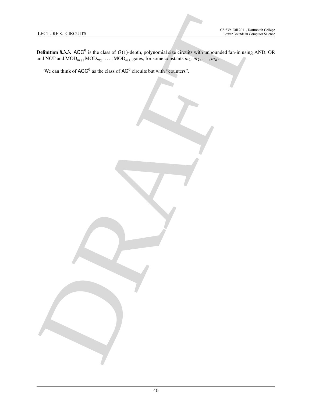LECTURE R. CINCUITS<br>
IN CHARLES CONTINUES (N. 2002)<br>
THE CHARLES CONTINUES (N. 2003)<br>
We can thus of ACC<sup>o</sup> in the class of AC<sup>C</sup> excite to the source section in the continues of ACC<sup>o</sup> in the class of AC<sup>C</sup> excite to your **Definition 8.3.3.** ACC<sup>0</sup> is the class of  $O(1)$ -depth, polynomial size circuits with unbounded fan-in using AND, OR and NOT and  $\text{MOD}_{m_1}, \text{MOD}_{m_2}, \ldots, \text{MOD}_{m_k}$  gates, for some constants  $m_1, m_2, \ldots, m_k$ .

We can think of  $ACC^0$  as the class of  $AC^0$  circuits but with "counters".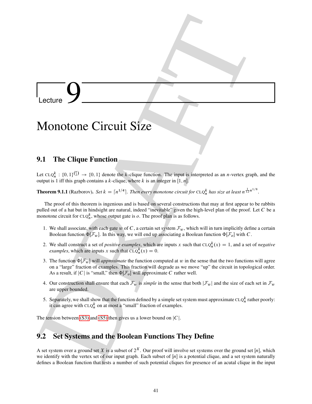# $\overline{\phantom{a}}$  Lecture  $\overline{9}$

## Monotone Circuit Size

## 9.1 The Clique Function

<span id="page-41-4"></span>Let  $CLQ_n^k$ :  $\{0,1\}^{(n)} \to \{0,1\}$  denote the k-clique function. The input is interpreted as an n-vertex graph, and the output is 1 iff this graph contains a k-clique, where k is an integer in  $[1, n]$ .

**Theorem 9.1.1** (Razborov). Set  $k = \lceil n^{1/4} \rceil$ . Then every monotone circuit for  $CLQ_n^k$  has size at least  $n^{\frac{1}{12}n^{1/8}}$ .

Lecture<br>
Monotone Circuit Size<br>
2.1 The Clique Function<br>
Lecture  $\sum_{n=1}^{\infty}$  (1910)  $-$  (0.1) shows the leading Martins The inject is interpreted to an avertice simple, and the<br>
measure of  $\mathbb{R}^n$  (1910)  $-$  (0.1) s The proof of this theorem is ingenious and is based on several constructions that may at first appear to be rabbits pulled out of a hat but in hindsight are natural, indeed "inevitable" given the high-level plan of the proof. Let C be a monotone circuit for  $CLQ_n^k$ , whose output gate is  $o$ . The proof plan is as follows.

- <span id="page-41-2"></span>1. We shall associate, with each gate w of C, a certain set system  $\mathcal{F}_w$ , which will in turn implicitly define a certain Boolean function  $\Phi[\mathcal{F}_w]$ . In this way, we will end up associating a Boolean function  $\Phi[\mathcal{F}_o]$  with C.
- <span id="page-41-3"></span>2. We shall construct a set of *positive examples*, which are inputs x such that  $CLQ_n^k(x) = 1$ , and a set of *negative examples*, which are inputs x such that  $CLQ_n^k(x) = 0$ .
- <span id="page-41-0"></span>3. The function  $\Phi[\mathcal{F}_w]$  will *approximate* the function computed at w in the sense that the two functions will agree on a "large" fraction of examples. This fraction will degrade as we move "up" the circuit in topological order. As a result, if |C| is "small," then  $\Phi[\mathcal{F}_o]$  will approximate C rather well.
- 4. Our construction shall ensure that each  $\mathcal{F}_w$  is *simple* in the sense that both  $|\mathcal{F}_w|$  and the size of each set in  $\mathcal{F}_w$ are upper bounded.
- <span id="page-41-1"></span>5. Separately, we shall show that the function defined by a simple set system must approximate  $CLQ_n^k$  rather poorly: it can agree with  $CLQ_n^k$  on at most a "small" fraction of examples.

The tension between (S3) and (S5) then gives us a lower bound on  $|C|$ .

## 9.2 Set Systems and the Boolean Functions They Define

A set system over a ground set X is a subset of  $2^X$ . Our proof will involve set systems over the ground set [n], which we identify with the vertex set of our input graph. Each subset of  $[n]$  is a potential clique, and a set system naturally defines a Boolean function that tests a number of such potential cliques for presence of an acutal clique in the input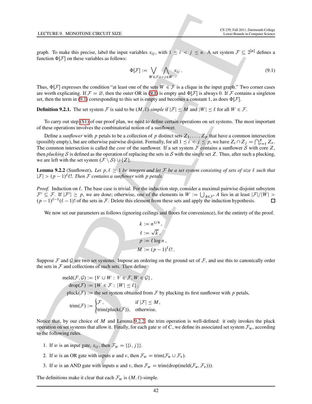graph. To make this precise, label the input variables  $x_{ij}$ , with  $1 \le i \le j \le n$ . A set system  $\mathcal{F} \subseteq 2^{[n]}$  defines a function  $\Phi[\mathcal{F}]$  on these variables as follows:

<span id="page-42-0"></span>
$$
\Phi[\mathcal{F}] := \bigvee_{W \in \mathcal{F}} \bigwedge_{i < j \in W} x_{ij} \,. \tag{9.1}
$$

Thus,  $\Phi[\mathcal{F}]$  expresses the condition "at least one of the sets  $W \in \mathcal{F}$  is a clique in the input graph." Two corner cases are worth explicating. If  $\mathcal{F} = \emptyset$ , then the outer OR in (9.1) is empty and  $\Phi[\mathcal{F}]$  is always 0. If F contains a singleton set, then the term in (9.1) corresponding to this set is empty and becomes a constant 1, as does  $\Phi[\mathcal{F}]$ .

**Definition 9.2.1.** The set system F is said to be  $(M, \ell)$ -simple if  $|F| \le M$  and  $|W| \le \ell$  for all  $W \in \mathcal{F}$ .

To carry out step (S1) of our proof plan, we need to define certain operations on set systems. The most important of these operations involves the combinatorial notion of a sunflower.

LCCUSE 9. MONDUNE LUCCUS 122<br>
graph. To reade this presion, that the input variables  $x_{ij}$ , with  $1 \le i \le j \le m$ . A state  $T^2 = 2m$  A state system  $T^2 = 2^{10}$  defines a state system  $T^2 = 2^{10}$  defines a state system  $\Delta T$ Define a *sunflower* with p petals to be a collection of p distinct sets  $Z_1, \ldots, Z_p$  that have a common intersection (possibly empty), but are otherwise pairwise disjoint. Formally, for all  $1 \le i \le j \le p$ , we have  $Z_i \cap Z_j = \bigcap_{r=1}^p Z_r$ . The common intersection is called the *core* of the sunflower. If a set system  $F$  contains a sunflower  $S$  with core  $Z$ , then *plucking* S is defined as the operation of replacing the sets in S with the single set Z. Thus, after such a plucking, we are left with the set system  $(\mathcal{F} \setminus \mathcal{S}) \cup \{Z\}.$ 

<span id="page-42-1"></span>**Lemma 9.2.2** (Sunflower). Let  $p, l \ge 1$  be integers and let F be a set system consisting of sets of size  $l$  such that  $|\mathcal{F}| > (p-1)^{\ell} \ell!$ . Then  $\mathcal F$  contains a sunflower with p petals.

*Proof.* Induction on  $\ell$ . The base case is trivial. For the induction step, consider a maximal pairwise disjoint subsytem  $\mathcal{F}' \subseteq \mathcal{F}$ . If  $|\mathcal{F}'| \geq p$ , we are done; otherwise, one of the elements in  $W := \bigcup_{A \in \mathcal{F}'} A$  lies in at least  $|\mathcal{F}|/|W| >$  $(p-1)^{\ell-1}(\ell-1)!$  of the sets in F. Delete this element from these sets and apply the induction hypothesis.

We now set our parameters as follows (ignoring ceilings and floors for convenience), for the entirety of the proof.

$$
k := n^{1/4},
$$
  
\n
$$
\ell := \sqrt{k},
$$
  
\n
$$
p := \ell \log n,
$$
  
\n
$$
M := (p-1)^{\ell} \ell!.
$$

Suppose  $\mathcal F$  and  $\mathcal G$  are two set systems. Impose an ordering on the ground set of  $\mathcal F$ , and use this to canonically order the sets in  $F$  and collections of such sets. Then define

$$
\begin{aligned}\n\text{medd}(\mathcal{F}, \mathcal{G}) &:= \{ V \cup W : V \in \mathcal{F}, W \in \mathcal{G} \}, \\
\text{drop}(\mathcal{F}) &:= \{ W \in \mathcal{F} : |W| \le \ell \}, \\
\text{pluck}(\mathcal{F}) &:= \text{the set system obtained from } \mathcal{F} \text{ by plucking its first sunflower with } p \text{ petals,} \\
\text{trim}(\mathcal{F}) &:= \int \mathcal{F}, \quad \text{if } |\mathcal{F}| \le M,\n\end{aligned}
$$

$$
trim(\mathcal{F}) := \begin{cases} \mathcal{F}, & \text{if } |\mathcal{F}| \leq M, \\ trim(pluck(\mathcal{F})), & \text{otherwise.} \end{cases}
$$

Notice that, by our choice of  $M$  and Lemma 9.2.2, the trim operation is well-defined: it only invokes the pluck operation on set systems that allow it. Finally, for each gate w of C, we define its associated set system  $\mathcal{F}_w$ , according to the following rules.

- 1. If w is an input gate,  $x_{ij}$ , then  $\mathcal{F}_w = \{\{i, j\}\}.$
- 2. If w is an OR gate with inputs u and v, then  $\mathcal{F}_w = \text{trim}(\mathcal{F}_u \cup \mathcal{F}_v)$ .
- 3. If w is an AND gate with inputs u and v, then  $\mathcal{F}_w = \text{trim}(\text{drop}(\text{meld}(\mathcal{F}_u, \mathcal{F}_v))).$

The definitions make it clear that each  $\mathcal{F}_w$  is  $(M, \ell)$ -simple.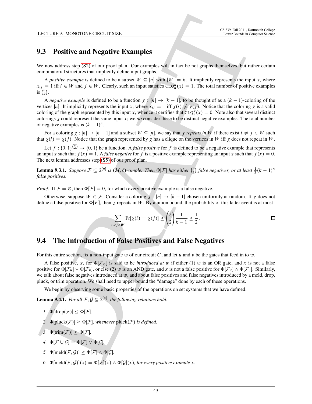## 9.3 Positive and Negative Examples

We now address step (S2) of our proof plan. Our examples will in fact be not graphs themselves, but rather certain combinatorial structures that implicitly define input graphs.

A *positive example* is defined to be a subset  $W \subseteq [n]$  with  $|W| = k$ . It implicitly represents the input x, where  $x_{ij} = 1$  iff  $i \in W$  and  $j \in W$ . Clearly, such an input satisfies  $CLQ_n^k(x) = 1$ . The total number of positive examples is  $\int_{k}^{n}$  $\binom{n}{k}$ .

**LCCUSE 4.** MONDON LCRCUT SEE <br> **C[A](#page-41-1)LCUSE 4. MONDON LCRCUT SEE**<br> **CALCUSE 4. MONDON LCRCUT SEE <br>
<b>CALCUSE 4. MONDON LCRCUT SEE (D** and proper semi-proper semi-proper semi-proper semi-proper semi-proper semi-proper semi-p A *negative example* is defined to be a function  $\chi : [n] \to [k-1]$ , to be thought of as a  $(k-1)$ -coloring of the vertices [n]. It implicitly represents the input x, where  $x_{ij} = 1$  iff  $\chi(i) \neq \chi(j)$ . Notice that the coloring  $\chi$  is a valid coloring of the graph represented by this input x, whence it certifies that  $CLQ_n^k(x) = 0$ . Note also that several distinct colorings  $\gamma$  could represent the same input x; we *do* consider these to be distinct negative examples. The total number of negative examples is  $(k - 1)^n$ .

For a coloring  $\chi : [n] \to [k-1]$  and a subset  $W \subseteq [n]$ , we say that  $\chi$  *repeats in* W if there exist  $i \neq j \in W$  such that  $\chi(i) = \chi(j)$ . Notice that the graph represented by  $\chi$  has a clique on the vertices in W iff  $\chi$  does not repeat in W.

Let  $f: \{0, 1\}^{n \choose 2} \to \{0, 1\}$  be a function. A *false positive* for f is defined to be a negative example that represents an input x such that  $f(x) = 1$ . A *false negative* for f is a positive example representing an input x such that  $f(x) = 0$ . The next lemma addresses step (S5) of our proof plan.

<span id="page-43-1"></span>**Lemma 9.3.1.** *Suppose*  $\mathcal{F} \subseteq 2^{[n]}$  *is*  $(M, \ell)$ -simple. Then  $\Phi[\mathcal{F}]$  has either  $\binom{n}{k}$  $\binom{n}{k}$  false negatives, or at least  $\frac{1}{2}(k-1)^n$ *false positives.*

*Proof.* If  $\mathcal{F} = \emptyset$ , then  $\Phi[\mathcal{F}] \equiv 0$ , for which every positive example is a false negative.

Otherwise, suppose  $W \in \mathcal{F}$ . Consider a coloring  $\chi : [n] \to [k-1]$  chosen uniformly at random. If  $\chi$  does not define a false positive for  $\Phi[F]$ , then  $\chi$  repeats in W. By a union bound, the probability of this latter event is at most

$$
\sum_{i < j \in W} \Pr[\chi(i) = \chi(j)] \le \binom{\ell}{2} \frac{1}{k-1} \le \frac{1}{2} \, .
$$

## 9.4 The Introduction of False Positives and False Negatives

For this entire section, fix a non-input gate w of our circuit C, and let u and v be the gates that feed in to w.

A false positive, x, for  $\Phi[\mathcal{F}_w]$  is said to be *introduced at* w if either (1) w is an OR gate, and x is not a false positive for  $\Phi[\mathcal{F}_u] \vee \Phi[\mathcal{F}_v]$ , or else (2) w is an AND gate, and x is not a false positive for  $\Phi[\mathcal{F}_u] \wedge \Phi[\mathcal{F}_v]$ . Similarly, we talk about false negatives introduced at  $w$ , and about false positives and false negatives introduced by a meld, drop, pluck, or trim operation. We shall need to upper bound the "damage" done by each of these operations.

<span id="page-43-0"></span>We begin by observing some basic properties of the operations on set systems that we have defined.

**Lemma 9.4.1.** *For all*  $\mathcal{F}, \mathcal{G} \subseteq 2^{[n]}$ *, the following relations hold.* 

- *1.*  $\Phi[\text{drop}(\mathcal{F})] \leq \Phi[\mathcal{F}].$
- 2.  $\Phi[\text{pluck}(\mathcal{F})] \geq \Phi[\mathcal{F}]$ , whenever pluck( $\mathcal{F}$ ) *is defined.*
- 3.  $\Phi[\text{trim}(\mathcal{F})] \geq \Phi[\mathcal{F}].$ 
	- *4.*  $\Phi[\mathcal{F} \cup \mathcal{G}] = \Phi[\mathcal{F}] \vee \Phi[\mathcal{G}].$
	- *5.*  $\Phi[\text{meld}(\mathcal{F}, \mathcal{G})] \leq \Phi[\mathcal{F}] \wedge \Phi[\mathcal{G}]$ .
	- *6.*  $\Phi[\text{meld}(\mathcal{F}, \mathcal{G})](x) = \Phi[\mathcal{F}](x) \wedge \Phi[\mathcal{G}](x)$ *, for every positive example* x*.*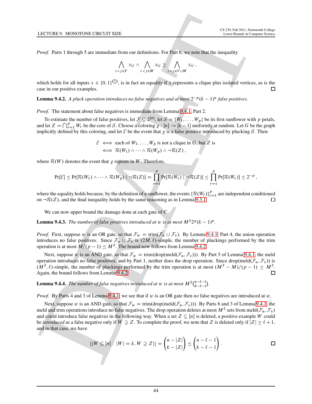*Proof.* Parts 1 through 5 are immediate from our definitions. For Part 6, we note that the inequality

$$
\bigwedge_{i < j \in V} x_{ij} \land \bigwedge_{i < j \in W} x_{ij} \ge \bigwedge_{i < j \in V \cup W} x_{ij} \,,
$$

which holds for all inputs  $x \in \{0, 1\}^{n \choose 2}$ , is in fact an equality if x represents a clique plus isolated vertices, as is the case in our positive examples.

<span id="page-44-0"></span>**Lemma 9.4.2.** A pluck operation introduces no false negatives and at most  $2^{-p}(k-1)^n$  false positives.

*Proof.* The statement about false negatives is immediate from Lemma 9.4.1, Part 2.

To estimate the number of false positives, let  $\mathcal{F} \subseteq 2^{[n]}$ , let  $\mathcal{S} = \{W_1, \ldots, W_p\}$  be its first sunflower with p petals, and let  $Z = \bigcap_{r=1}^p W_r$  be the core of S. Choose a coloring  $\chi : [n] \to [k-1]$  uniformly at random. Let G be the graph implicitly defined by this coloring, and let  $\mathcal E$  be the event that  $\chi$  is a false positive introduced by plucking  $\mathcal S$ . Then

> $\mathcal{E} \iff$  each of  $W_1, \ldots, W_p$  is not a clique in G, but Z is  $\iff \mathcal{R}(W_1) \wedge \cdots \wedge \mathcal{R}(W_n) \wedge \neg \mathcal{R}(Z)$ ,

where  $\mathcal{R}(W)$  denotes the event that  $\chi$  repeats in W. Therefore,

$$
\Pr[\mathcal{E}] \leq \Pr[\mathcal{R}(W_1) \wedge \cdots \wedge \mathcal{R}(W_p) \mid \neg \mathcal{R}(Z)] = \prod_{r=1}^p \Pr[\mathcal{R}(W_r) \mid \neg \mathcal{R}(Z)] \leq \prod_{r=1}^p \Pr[\mathcal{R}(W_r)] \leq 2^{-p},
$$

where the equality holds because, by the definition of a sunflower, the events  $\{\mathcal{R}(W_r)\}_{r=1}^p$  are independent conditioned on  $\neg R(Z)$ , and the final inequality holds by the same reasoning as in Lemma 9.3.1.

<span id="page-44-1"></span>We can now upper bound the damage done at each gate of C.

**Lemma 9.4.3.** The number of false positives introduced at w is at most  $M^2 2^p (k-1)^n$ .

*Proof.* First, suppose w is an OR gate, so that  $\mathcal{F}_w = \text{trim}(\mathcal{F}_u \cup \mathcal{F}_v)$ . By Lemma 9.4.1, Part 4, the union operation introduces no false positives. Since  $\mathcal{F}_u \cup \mathcal{F}_v$  is  $(2M, \ell)$ -simple, the number of pluckings performed by the trim operation is at most  $M/(p-1) \leq M^2$ . The bound now follows from Lemma 9.4.2.

Next, suppose w is an AND gate, so that  $\mathcal{F}_w = \text{trim}(\text{drop}(\text{meld}(\mathcal{F}_u, \mathcal{F}_v)))$ . By Part 5 of Lemma [9.4.1,](#page-43-0) the meld operation introduces no false positives, and by Part 1, neither does the drop operation. Since drop(meld $(\mathcal{F}_u, \mathcal{F}_v)$ ) is  $(M^2, \ell)$ -simple, the number of pluckings performed by the trim operation is at most  $(M^2 - M)/(p - 1) \leq M^2$ . Again, the bound follows from Lemma 9.4.2.

<span id="page-44-2"></span>**Lemma 9.4.4.** The number of false negatives introduced at w is at most  $M^2\binom{n-\ell-1}{\ell-\ell-1}$  $_{k-\ell-1}^{n-\ell-1}$ .

*Proof.* By Parts 4 and 3 of Lemma 9.4.1, we see that if w is an OR gate then *no* false negatives are introduced at w.

LECTURE 9. MONTION: LEMECUT SEE!<br>
C[A](#page-43-1)NNOT BETTING THE CONTRACT CONTRACT CONTRACT CONTRACT CONTRACT CONTRACT CONTRACT CONTRACT CONTRACT CONTRACT CONTRACT CONTRACT CONTRACT CONTRACT CONTRACT CONTRACT CONTRACT CONTRACT CONTRA Next, suppose w is an AND gate, so that  $\mathcal{F}_w = \text{trim}(\text{drop}( \text{meld}(\mathcal{F}_u, \mathcal{F}_v)))$ . By Parts 6 and 3 of Lemma [9.4.1,](#page-43-0) the meld and trim operations introduce no false negatives. The drop operation deletes at most  $M^2$  sets from meld $(\mathcal{F}_u,\mathcal{F}_v)$ and could introduce false negatives in the following way. When a set  $Z \subseteq [n]$  is deleted, a positive example W could be *introduced* as a false negative only if  $W \supseteq Z$ . To complete the proof, we note that Z is deleted only if  $|Z| \ge \ell + 1$ , and in that case, we have

$$
|\{W \subseteq [n]: |W| = k, W \supseteq Z\}| = {n-|Z| \choose k-|Z|} \le {n-\ell-1 \choose k-\ell-1}.
$$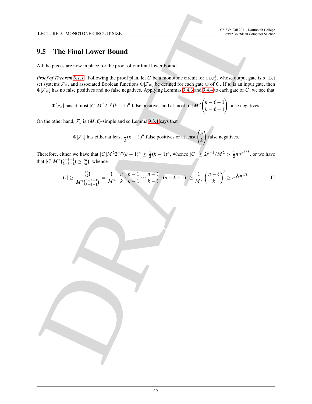## 9.5 The Final Lower Bound

All the pieces are now in place for the proof of our final lower bound.

LECTURE 8. MONTION: L'ENCOUR SERIE<br>
SURFAINT LOWER BOUNDAIRE (SERIE PROPRIET DE CONTRACTOR)<br>
CONFIDENCIAL CONFIDENCIAL CONTRACTOR (SERIE DE CONFIDENCIAL CONTRACTOR)<br>
CONFIDENCIAL CONFIDENCIAL CONFIDENCIAL CONFIDENTIAL CON *Proof of Theorem 9.1.1.* Following the proof plan, let C be a monotone circuit for  $CLQ_n^k$ , whose output gate is o. Let set systems  $\mathcal{F}_w$ , and associated Boolean functions  $\Phi[\mathcal{F}_w]$  be defined for each gate w of C. If w is an input gate, then  $\Phi[\mathcal{F}_w]$  has no false positives and no false negatives. Applying Lemmas 9.4.3 and 9.4.4 to each gate of C, we see that

 $\Phi[\mathcal{F}_o]$  has at most  $|C|M^22^{-p}(k-1)^n$  false positives and at most  $|C|M^2$  $\int$ n -  $\ell$  - 1  $k - \ell - 1$  $\lambda$ false negatives.

On the other hand,  $\mathcal{F}_o$  is  $(M, \ell)$ -simple and so Lemma 9.3.1 says that

 $\Phi[\mathcal{F}_o]$  has either at least  $\frac{1}{2}$  $\frac{1}{2}(k-1)^n$  false positives or at least  $\binom{n}{k}$ k  $\lambda$ false negatives.

Therefore, either we have that  $|C|M^22^{-p}(k-1)^n \ge \frac{1}{2}(k-1)^n$ , whence  $|C| \ge 2^{p-1}/M^2 > \frac{1}{2}n^{\frac{1}{3}n^{1/8}}$ , or we have that  $|C|M^2\binom{n-\ell-1}{k-\ell-1}$  $\binom{n-\ell-1}{k-\ell-1} \geq \binom{n}{k}$  $\binom{n}{k}$ , whence

$$
|C| \ge \frac{{n \choose k}}{M^2 {n-\ell-1 \choose k-\ell-1}} = \frac{1}{M^2} \cdot \frac{n}{k} \cdot \frac{n-1}{k-1} \cdots \frac{n-\ell}{k-\ell} \cdot (n-\ell-1)! \ge \frac{1}{M^2} \left(\frac{n-\ell}{k}\right)^{\ell} \ge n^{\frac{1}{12}n^{1/8}}.
$$